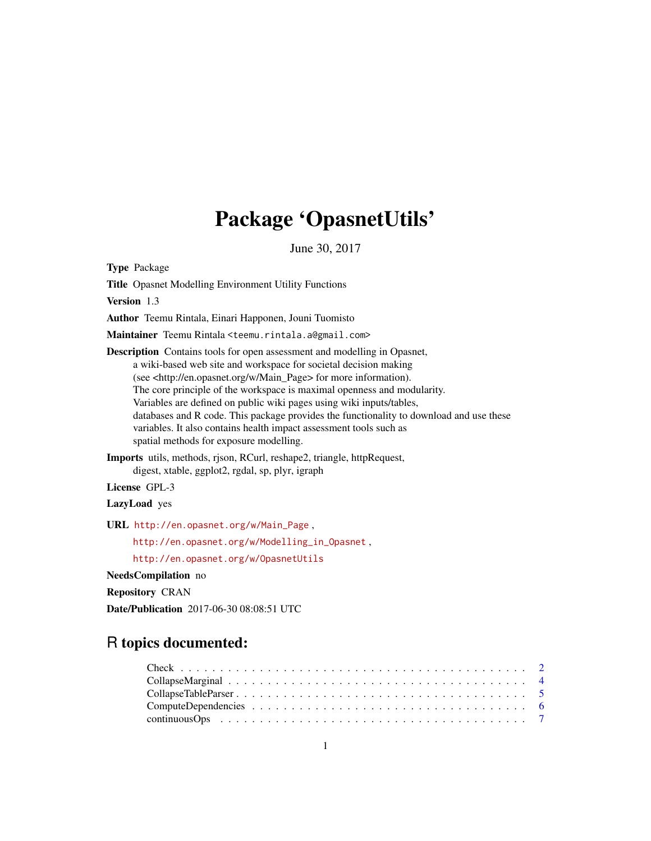# Package 'OpasnetUtils'

June 30, 2017

<span id="page-0-0"></span>Type Package

Title Opasnet Modelling Environment Utility Functions

Version 1.3

Author Teemu Rintala, Einari Happonen, Jouni Tuomisto

Maintainer Teemu Rintala <teemu.rintala.a@gmail.com>

Description Contains tools for open assessment and modelling in Opasnet, a wiki-based web site and workspace for societal decision making (see <http://en.opasnet.org/w/Main\_Page> for more information). The core principle of the workspace is maximal openness and modularity. Variables are defined on public wiki pages using wiki inputs/tables, databases and R code. This package provides the functionality to download and use these variables. It also contains health impact assessment tools such as spatial methods for exposure modelling.

Imports utils, methods, rjson, RCurl, reshape2, triangle, httpRequest, digest, xtable, ggplot2, rgdal, sp, plyr, igraph

License GPL-3

LazyLoad yes

URL [http://en.opasnet.org/w/Main\\_Page](http://en.opasnet.org/w/Main_Page) ,

[http://en.opasnet.org/w/Modelling\\_in\\_Opasnet](http://en.opasnet.org/w/Modelling_in_Opasnet) ,

<http://en.opasnet.org/w/OpasnetUtils>

NeedsCompilation no

Repository CRAN

Date/Publication 2017-06-30 08:08:51 UTC

## R topics documented:

| $ComputeDependencies \dots \dots \dots \dots \dots \dots \dots \dots \dots \dots \dots \dots \dots \dots \dots \dots$ |  |
|-----------------------------------------------------------------------------------------------------------------------|--|
|                                                                                                                       |  |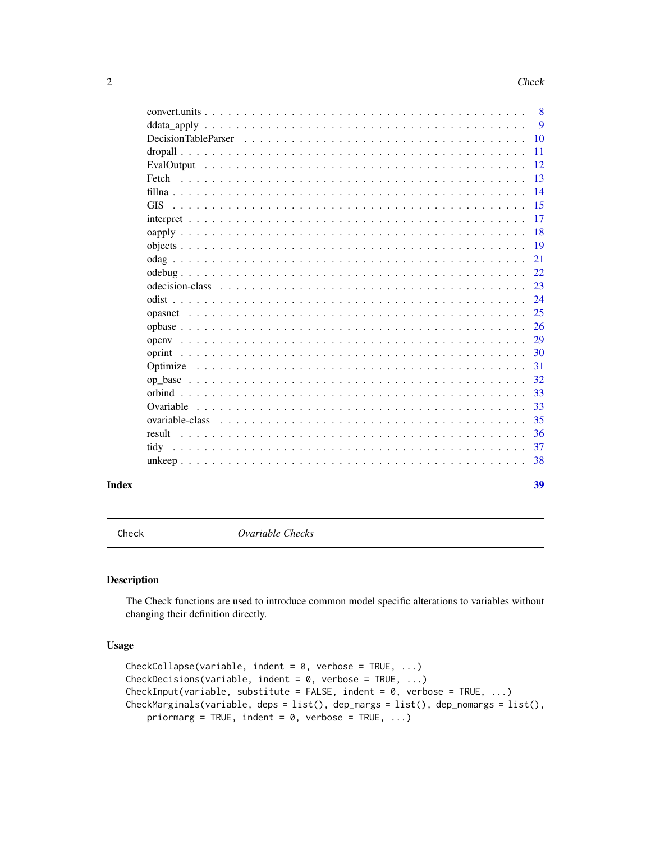<span id="page-1-0"></span>

|                 | 38        |
|-----------------|-----------|
|                 | 37        |
|                 | 36        |
| ovariable-class | 35        |
|                 | 33        |
|                 | 33        |
|                 | 32        |
|                 | 31        |
| oprint          | 30        |
|                 | 29        |
|                 | 26        |
|                 | 24<br>25  |
|                 | 23        |
|                 | 22        |
|                 | 21        |
|                 | -19       |
|                 | -18       |
|                 | -17       |
| <b>GIS</b>      | -15       |
|                 | -14       |
| Fetch           | 13        |
|                 | -12       |
|                 | <b>11</b> |
|                 | -10       |
|                 | -9        |

<span id="page-1-2"></span>Check *Ovariable Checks*

## <span id="page-1-1"></span>Description

The Check functions are used to introduce common model specific alterations to variables without changing their definition directly.

## Usage

```
CheckCollapse(variable, indent = 0, verbose = TRUE, ...)
CheckDecisions(variable, indent = 0, verbose = TRUE, ...)
CheckInput(variable, substitute = FALSE, indent = 0, verbose = TRUE, ...)
CheckMarginals(variable, deps = list(), dep_margs = list(), dep_nomargs = list(),
   priormarg = TRUE, indent = 0, verbose = TRUE, ...)
```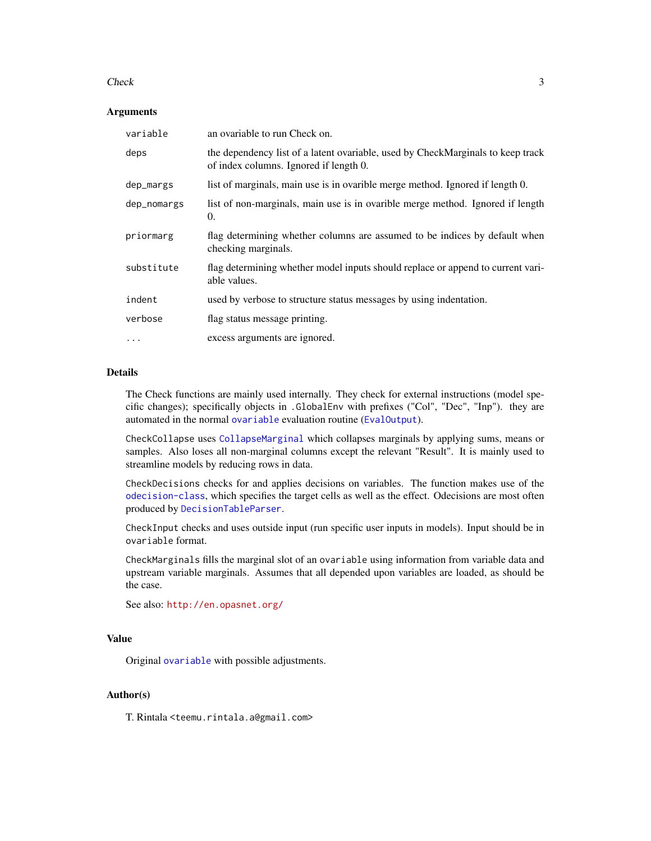#### <span id="page-2-0"></span>Check 3

#### **Arguments**

| variable    | an ovariable to run Check on.                                                                                             |
|-------------|---------------------------------------------------------------------------------------------------------------------------|
| deps        | the dependency list of a latent ovariable, used by CheckMarginals to keep track<br>of index columns. Ignored if length 0. |
| dep_margs   | list of marginals, main use is in ovarible merge method. Ignored if length 0.                                             |
| dep_nomargs | list of non-marginals, main use is in ovarible merge method. Ignored if length<br>0.                                      |
| priormarg   | flag determining whether columns are assumed to be indices by default when<br>checking marginals.                         |
| substitute  | flag determining whether model inputs should replace or append to current vari-<br>able values.                           |
| indent      | used by verbose to structure status messages by using indentation.                                                        |
| verbose     | flag status message printing.                                                                                             |
| $\cdots$    | excess arguments are ignored.                                                                                             |

#### Details

The Check functions are mainly used internally. They check for external instructions (model specific changes); specifically objects in .GlobalEnv with prefixes ("Col", "Dec", "Inp"). they are automated in the normal [ovariable](#page-34-1) evaluation routine ([EvalOutput](#page-11-1)).

CheckCollapse uses [CollapseMarginal](#page-3-1) which collapses marginals by applying sums, means or samples. Also loses all non-marginal columns except the relevant "Result". It is mainly used to streamline models by reducing rows in data.

CheckDecisions checks for and applies decisions on variables. The function makes use of the [odecision-class](#page-22-1), which specifies the target cells as well as the effect. Odecisions are most often produced by [DecisionTableParser](#page-9-1).

CheckInput checks and uses outside input (run specific user inputs in models). Input should be in ovariable format.

CheckMarginals fills the marginal slot of an ovariable using information from variable data and upstream variable marginals. Assumes that all depended upon variables are loaded, as should be the case.

```
See also: http://en.opasnet.org/
```
#### Value

Original [ovariable](#page-34-1) with possible adjustments.

#### Author(s)

T. Rintala <teemu.rintala.a@gmail.com>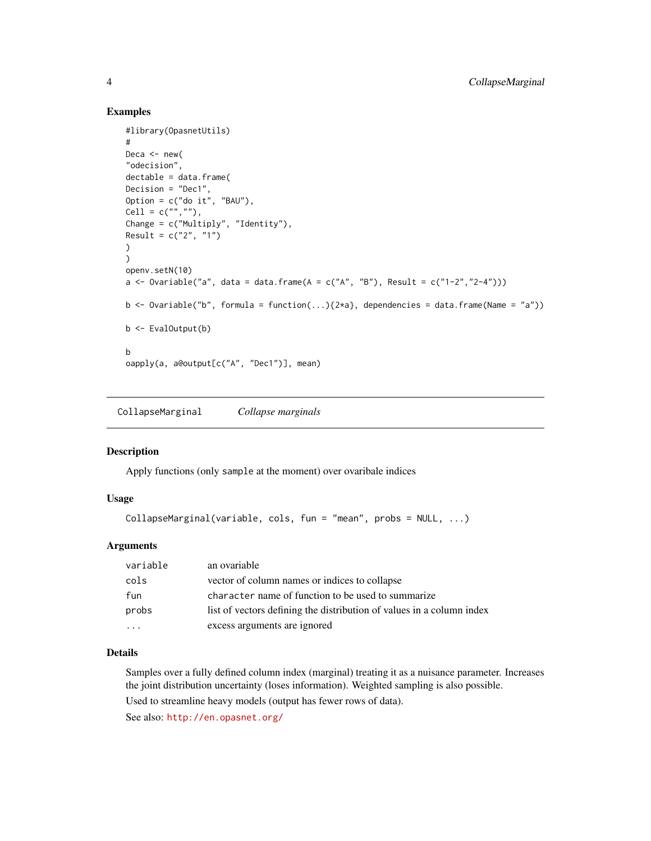#### Examples

```
#library(OpasnetUtils)
#
Deca \leq new(
"odecision",
dectable = data.frame(
Decision = "Dec1",
Option = c("do it", "BAU"),
Cell = c("", ""),
Change = c("Multiply", "Identity"),
Result = c("2", "1"))
)
openv.setN(10)
a <- Ovariable("a", data = data.frame(A = c("A", "B"), Result = c("1-2", "2-4")))
b \leq 0variable("b", formula = function(...){2*a}, dependencies = data.frame(Name = "a"))
b \leftarrow EvalOutput(b)
b
oapply(a, a@output[c("A", "Dec1")], mean)
```
<span id="page-3-1"></span>CollapseMarginal *Collapse marginals*

#### Description

Apply functions (only sample at the moment) over ovaribale indices

#### Usage

```
CollapseMarginal(variable, cols, fun = "mean", probs = NULL, ...)
```
#### **Arguments**

| variable | an ovariable                                                          |
|----------|-----------------------------------------------------------------------|
| cols     | vector of column names or indices to collapse                         |
| fun      | character name of function to be used to summarize                    |
| probs    | list of vectors defining the distribution of values in a column index |
|          | excess arguments are ignored                                          |

#### Details

Samples over a fully defined column index (marginal) treating it as a nuisance parameter. Increases the joint distribution uncertainty (loses information). Weighted sampling is also possible.

Used to streamline heavy models (output has fewer rows of data).

See also: <http://en.opasnet.org/>

<span id="page-3-0"></span>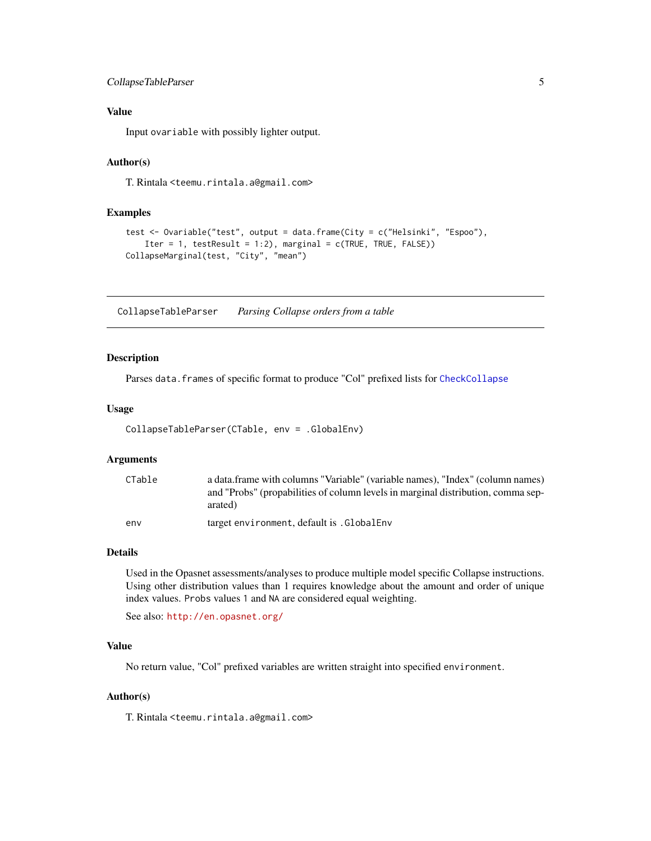## <span id="page-4-0"></span>CollapseTableParser 5

## Value

Input ovariable with possibly lighter output.

#### Author(s)

T. Rintala <teemu.rintala.a@gmail.com>

#### Examples

```
test <- Ovariable("test", output = data.frame(City = c("Helsinki", "Espoo"),
    Iter = 1, testResult = 1:2), marginal = c(TRUE, TRUE, FALSE)CollapseMarginal(test, "City", "mean")
```
CollapseTableParser *Parsing Collapse orders from a table*

#### Description

Parses data. frames of specific format to produce "Col" prefixed lists for [CheckCollapse](#page-1-1)

#### Usage

```
CollapseTableParser(CTable, env = .GlobalEnv)
```
#### Arguments

| CTable | a data.frame with columns "Variable" (variable names), "Index" (column names)<br>and "Probs" (propabilities of column levels in marginal distribution, comma sep- |
|--------|-------------------------------------------------------------------------------------------------------------------------------------------------------------------|
| env    | arated)<br>target environment, default is GlobalEnv                                                                                                               |

#### Details

Used in the Opasnet assessments/analyses to produce multiple model specific Collapse instructions. Using other distribution values than 1 requires knowledge about the amount and order of unique index values. Probs values 1 and NA are considered equal weighting.

See also: <http://en.opasnet.org/>

#### Value

No return value, "Col" prefixed variables are written straight into specified environment.

## Author(s)

T. Rintala <teemu.rintala.a@gmail.com>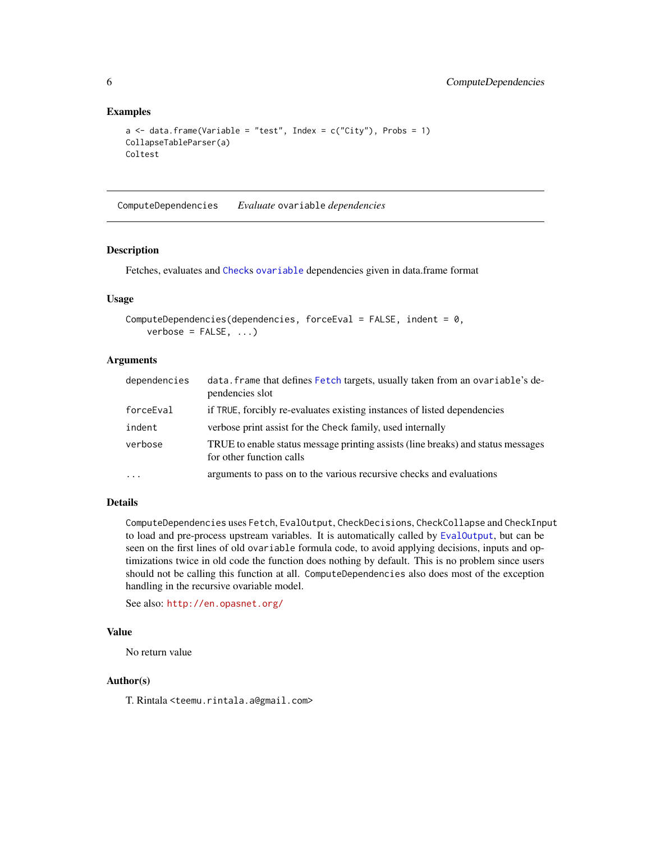## Examples

```
a \leq - data.frame(Variable = "test", Index = c("City"), Probs = 1)
CollapseTableParser(a)
Coltest
```
<span id="page-5-1"></span>ComputeDependencies *Evaluate* ovariable *dependencies*

## Description

Fetches, evaluates and [Check](#page-1-2)s [ovariable](#page-34-1) dependencies given in data.frame format

#### Usage

```
ComputeDependencies(dependencies, forceEval = FALSE, indent = 0,
   verbose = FALSE, ...)
```
## Arguments

| dependencies | data. frame that defines Fetch targets, usually taken from an ovariable's de-<br>pendencies slot             |
|--------------|--------------------------------------------------------------------------------------------------------------|
| forceEval    | if TRUE, forcibly re-evaluates existing instances of listed dependencies                                     |
| indent       | verbose print assist for the Check family, used internally                                                   |
| verbose      | TRUE to enable status message printing assists (line breaks) and status messages<br>for other function calls |
| $\ddotsc$    | arguments to pass on to the various recursive checks and evaluations                                         |

## Details

ComputeDependencies uses Fetch, EvalOutput, CheckDecisions, CheckCollapse and CheckInput to load and pre-process upstream variables. It is automatically called by [EvalOutput](#page-11-1), but can be seen on the first lines of old ovariable formula code, to avoid applying decisions, inputs and optimizations twice in old code the function does nothing by default. This is no problem since users should not be calling this function at all. ComputeDependencies also does most of the exception handling in the recursive ovariable model.

See also: <http://en.opasnet.org/>

## Value

No return value

#### Author(s)

T. Rintala <teemu.rintala.a@gmail.com>

<span id="page-5-0"></span>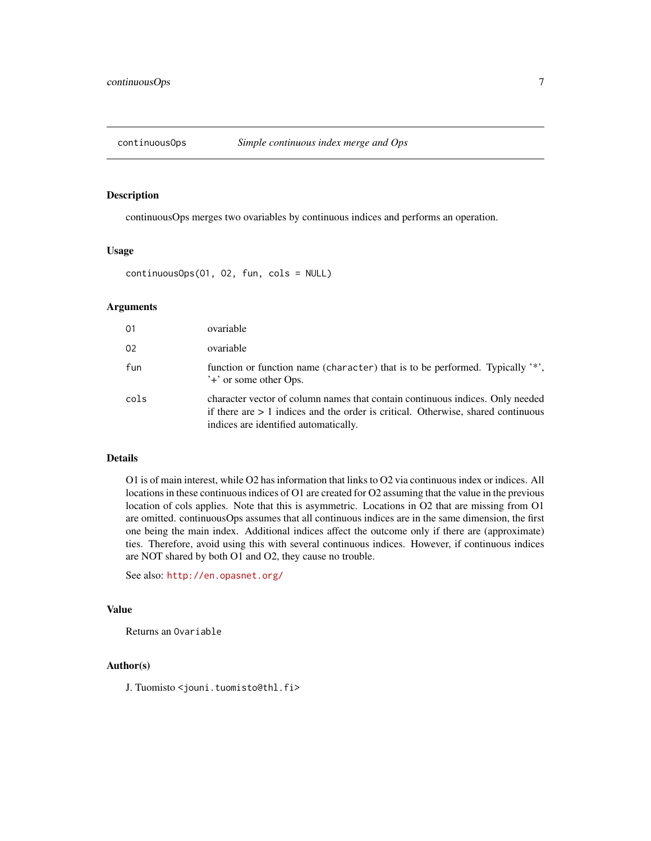<span id="page-6-0"></span>

continuousOps merges two ovariables by continuous indices and performs an operation.

#### Usage

```
continuousOps(O1, O2, fun, cols = NULL)
```
#### Arguments

| 01   | ovariable                                                                                                                                                                                                    |
|------|--------------------------------------------------------------------------------------------------------------------------------------------------------------------------------------------------------------|
| 02   | ovariable                                                                                                                                                                                                    |
| fun  | function or function name (character) that is to be performed. Typically '*',<br>'+' or some other Ops.                                                                                                      |
| cols | character vector of column names that contain continuous indices. Only needed<br>if there are $> 1$ indices and the order is critical. Otherwise, shared continuous<br>indices are identified automatically. |

#### Details

O1 is of main interest, while O2 has information that links to O2 via continuous index or indices. All locations in these continuous indices of O1 are created for O2 assuming that the value in the previous location of cols applies. Note that this is asymmetric. Locations in O2 that are missing from O1 are omitted. continuousOps assumes that all continuous indices are in the same dimension, the first one being the main index. Additional indices affect the outcome only if there are (approximate) ties. Therefore, avoid using this with several continuous indices. However, if continuous indices are NOT shared by both O1 and O2, they cause no trouble.

See also: <http://en.opasnet.org/>

#### Value

Returns an Ovariable

## Author(s)

J. Tuomisto <jouni.tuomisto@thl.fi>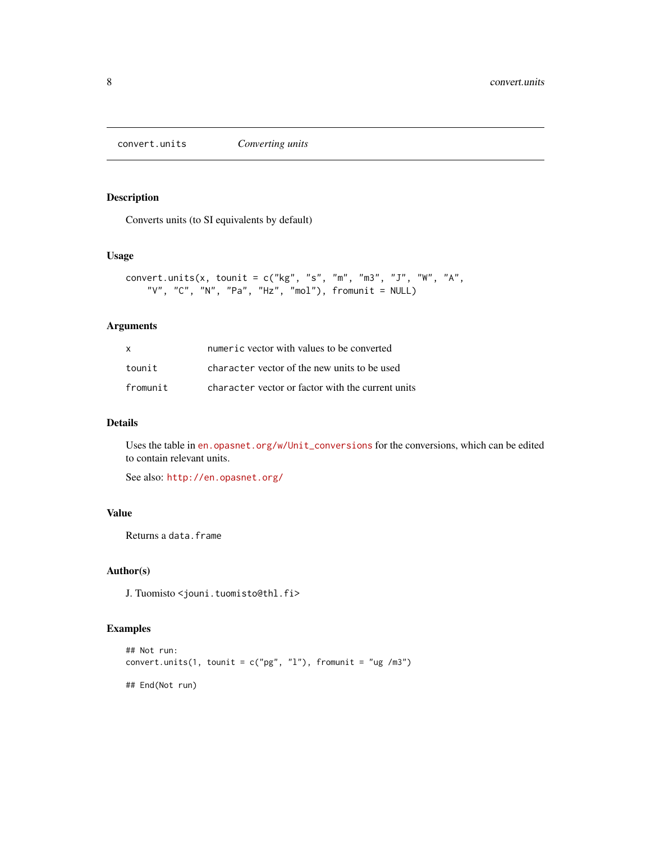<span id="page-7-0"></span>convert.units *Converting units*

## Description

Converts units (to SI equivalents by default)

#### Usage

```
convert.units(x, tounit = c("kg", "s", "m", "m3", "J", "W", "A","V", "C", "N", "Pa", "Hz", "mol"), fromunit = NULL)
```
## Arguments

| X        | numeric vector with values to be converted        |
|----------|---------------------------------------------------|
| tounit   | character vector of the new units to be used      |
| fromunit | character vector or factor with the current units |

## Details

Uses the table in en. opasnet.org/w/Unit\_conversions for the conversions, which can be edited to contain relevant units.

See also: <http://en.opasnet.org/>

#### Value

Returns a data.frame

## Author(s)

J. Tuomisto <jouni.tuomisto@thl.fi>

```
## Not run:
convert.units(1, tounit = c("pg", "l"), fromunit = "ug /m3")
## End(Not run)
```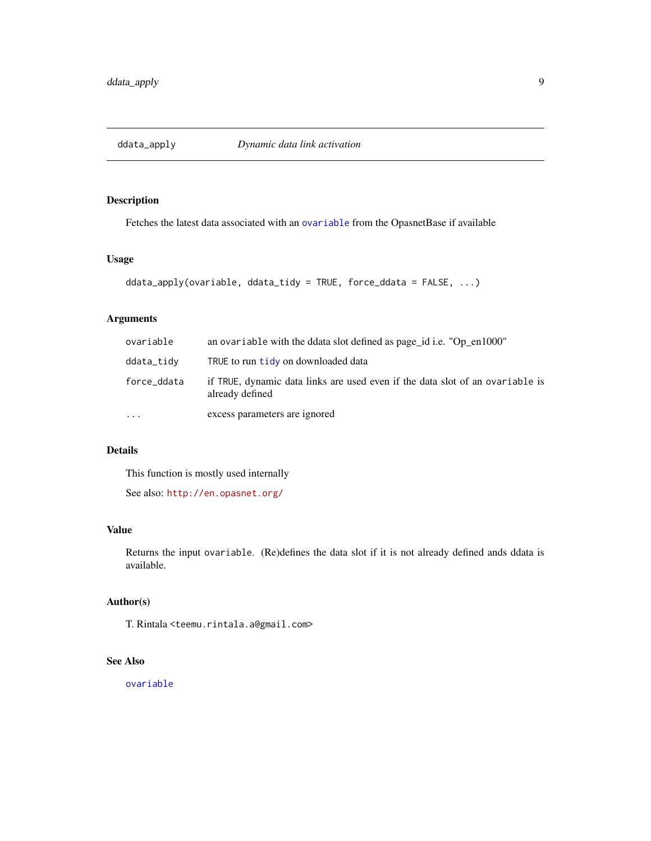<span id="page-8-0"></span>

Fetches the latest data associated with an [ovariable](#page-34-1) from the OpasnetBase if available

## Usage

```
ddata_apply(ovariable, ddata_tidy = TRUE, force_ddata = FALSE, ...)
```
## Arguments

| ovariable   | an ovariable with the ddata slot defined as page_id i.e. "Op_en1000"                             |
|-------------|--------------------------------------------------------------------------------------------------|
| ddata_tidy  | TRUE to run tidy on downloaded data                                                              |
| force_ddata | if TRUE, dynamic data links are used even if the data slot of an ovariable is<br>already defined |
| $\ddotsc$   | excess parameters are ignored                                                                    |

## Details

This function is mostly used internally

See also: <http://en.opasnet.org/>

#### Value

Returns the input ovariable. (Re)defines the data slot if it is not already defined ands ddata is available.

## Author(s)

T. Rintala <teemu.rintala.a@gmail.com>

## See Also

[ovariable](#page-34-1)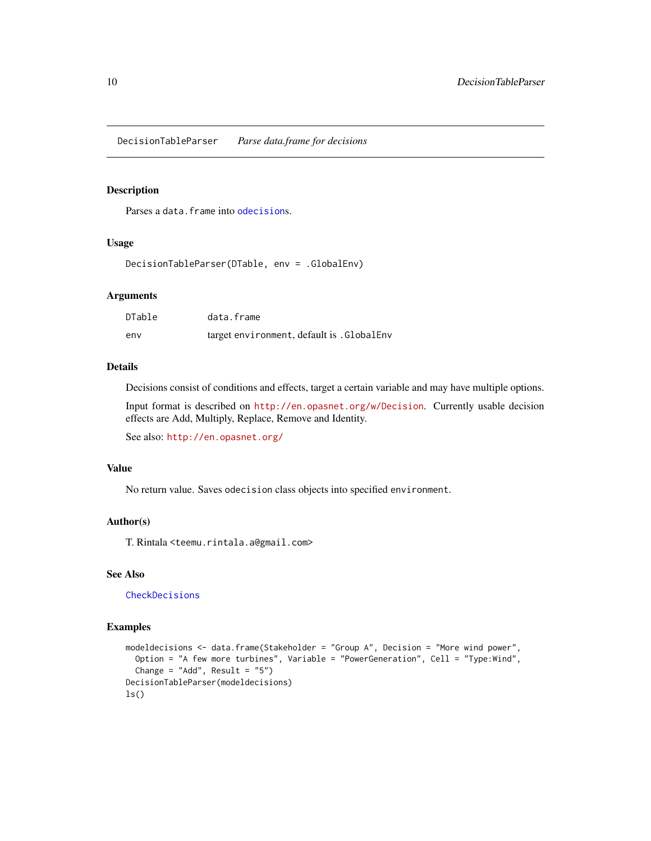<span id="page-9-1"></span><span id="page-9-0"></span>DecisionTableParser *Parse data.frame for decisions*

#### Description

Parses a data. frame into [odecision](#page-22-2)s.

#### Usage

DecisionTableParser(DTable, env = .GlobalEnv)

#### Arguments

| <b>DTable</b> | data.frame                                |
|---------------|-------------------------------------------|
| env           | target environment, default is .GlobalEnv |

## Details

Decisions consist of conditions and effects, target a certain variable and may have multiple options.

Input format is described on <http://en.opasnet.org/w/Decision>. Currently usable decision effects are Add, Multiply, Replace, Remove and Identity.

See also: <http://en.opasnet.org/>

## Value

No return value. Saves odecision class objects into specified environment.

#### Author(s)

T. Rintala <teemu.rintala.a@gmail.com>

## See Also

[CheckDecisions](#page-1-1)

```
modeldecisions <- data.frame(Stakeholder = "Group A", Decision = "More wind power",
  Option = "A few more turbines", Variable = "PowerGeneration", Cell = "Type:Wind",
  Change = "Add", Result = "5")DecisionTableParser(modeldecisions)
ls()
```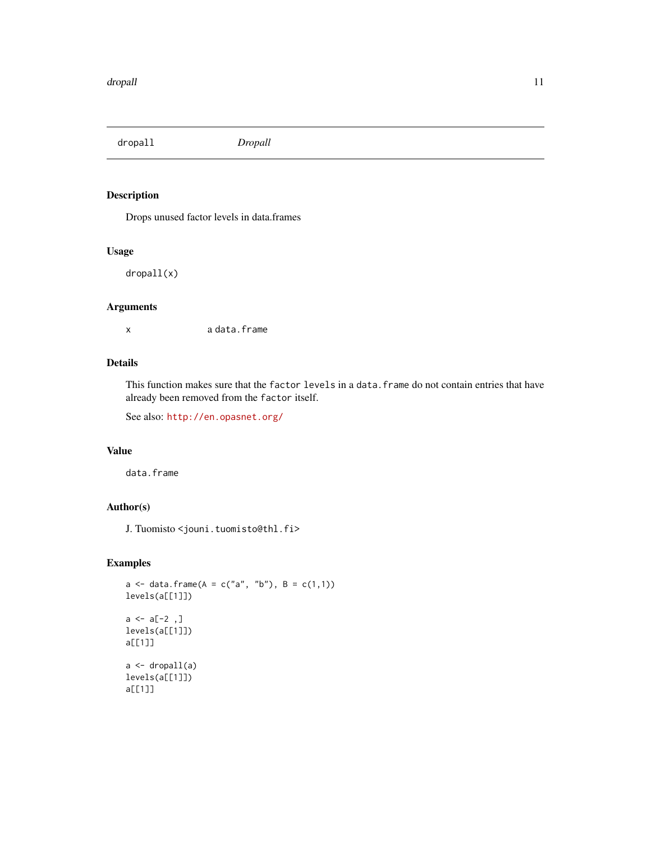<span id="page-10-1"></span><span id="page-10-0"></span>dropall *Dropall*

## Description

Drops unused factor levels in data.frames

### Usage

dropall(x)

## Arguments

x a data.frame

## Details

This function makes sure that the factor levels in a data. frame do not contain entries that have already been removed from the factor itself.

See also: <http://en.opasnet.org/>

## Value

data.frame

## Author(s)

J. Tuomisto <jouni.tuomisto@thl.fi>

```
a \leq - data.frame(A = c("a", "b"), B = c(1,1))
levels(a[[1]])
a \leftarrow a[-2, 1]levels(a[[1]])
a[[1]]
a <- dropall(a)
levels(a[[1]])
a[[1]]
```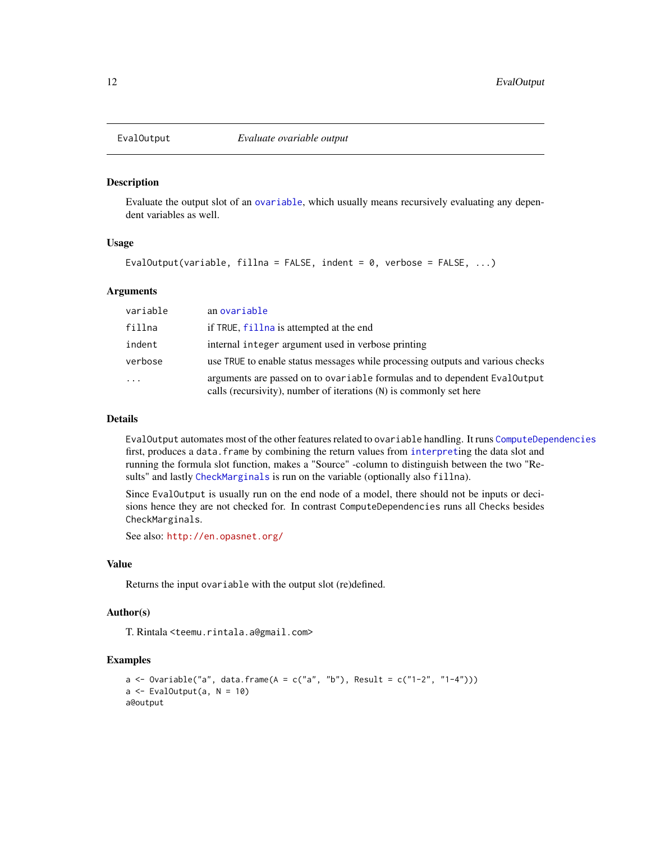<span id="page-11-1"></span><span id="page-11-0"></span>

Evaluate the output slot of an [ovariable](#page-34-1), which usually means recursively evaluating any dependent variables as well.

#### Usage

EvalOutput(variable, fillna = FALSE, indent = 0, verbose = FALSE,  $\ldots$ )

#### Arguments

| variable            | an ovariable                                                                                                                                    |
|---------------------|-------------------------------------------------------------------------------------------------------------------------------------------------|
| fillna              | if TRUE, fillna is attempted at the end                                                                                                         |
| indent              | internal integer argument used in verbose printing                                                                                              |
| verbose             | use TRUE to enable status messages while processing outputs and various checks                                                                  |
| $\cdot \cdot \cdot$ | arguments are passed on to ovariable formulas and to dependent EvalOutput<br>calls (recursivity), number of iterations (N) is commonly set here |

#### Details

EvalOutput automates most of the other features related to ovariable handling. It runs [ComputeDependencies](#page-5-1) first, produces a data. frame by combining the return values from [interpret](#page-16-1)ing the data slot and running the formula slot function, makes a "Source" -column to distinguish between the two "Results" and lastly [CheckMarginals](#page-1-1) is run on the variable (optionally also fillna).

Since EvalOutput is usually run on the end node of a model, there should not be inputs or decisions hence they are not checked for. In contrast ComputeDependencies runs all Checks besides CheckMarginals.

See also: <http://en.opasnet.org/>

#### Value

Returns the input ovariable with the output slot (re)defined.

## Author(s)

T. Rintala <teemu.rintala.a@gmail.com>

```
a \leq 0variable("a", data.frame(A = c("a", "b"), Result = c("1-2", "1-4")))
a \leftarrow EvalOutput(a, N = 10)
a@output
```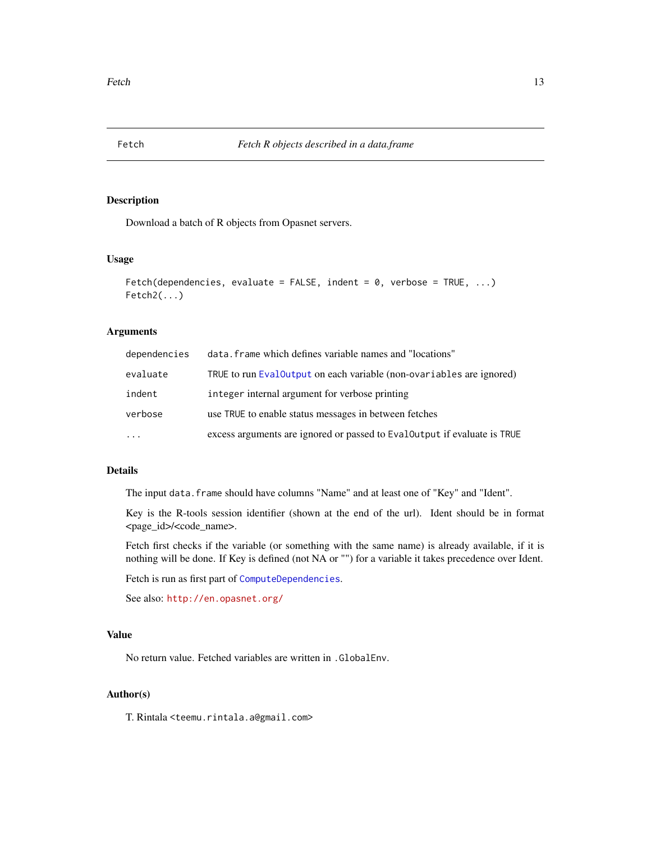<span id="page-12-1"></span><span id="page-12-0"></span>

Download a batch of R objects from Opasnet servers.

#### Usage

```
Fetch(dependencies, evaluate = FALSE, indent = 0, verbose = TRUE, ...)
Fetch2(\ldots)
```
#### Arguments

| dependencies | data. frame which defines variable names and "locations"                  |
|--------------|---------------------------------------------------------------------------|
| evaluate     | TRUE to run EvalOutput on each variable (non-ovariables are ignored)      |
| indent       | integer internal argument for verbose printing                            |
| verbose      | use TRUE to enable status messages in between fetches                     |
| $\cdots$     | excess arguments are ignored or passed to Eval Output if evaluate is TRUE |

#### Details

The input data.frame should have columns "Name" and at least one of "Key" and "Ident".

Key is the R-tools session identifier (shown at the end of the url). Ident should be in format <page\_id>/<code\_name>.

Fetch first checks if the variable (or something with the same name) is already available, if it is nothing will be done. If Key is defined (not NA or "") for a variable it takes precedence over Ident.

Fetch is run as first part of [ComputeDependencies](#page-5-1).

See also: <http://en.opasnet.org/>

## Value

No return value. Fetched variables are written in .GlobalEnv.

## Author(s)

T. Rintala <teemu.rintala.a@gmail.com>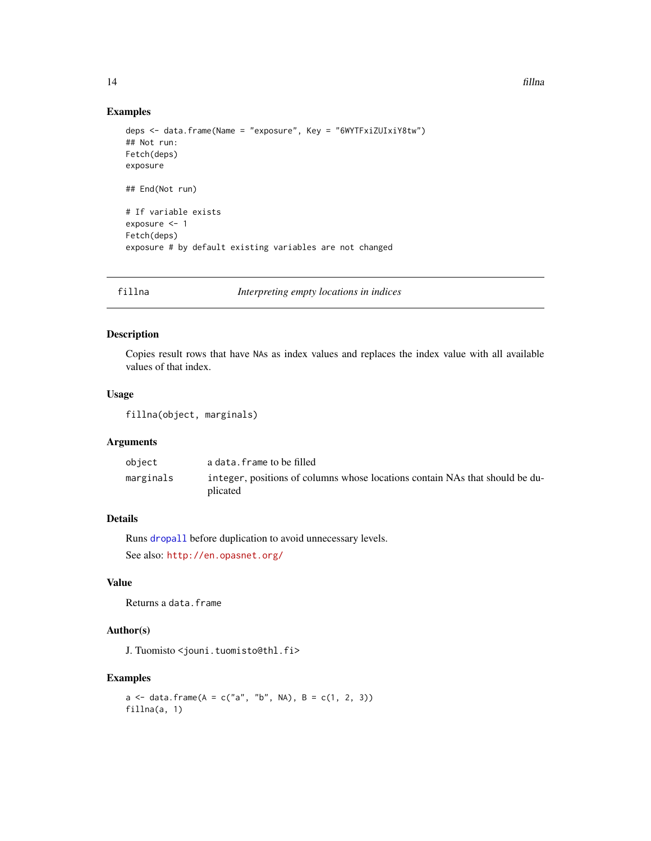#### Examples

```
deps <- data.frame(Name = "exposure", Key = "6WYTFxiZUIxiY8tw")
## Not run:
Fetch(deps)
exposure
## End(Not run)
# If variable exists
exposure <- 1
Fetch(deps)
exposure # by default existing variables are not changed
```
<span id="page-13-1"></span>fillna *Interpreting empty locations in indices*

#### Description

Copies result rows that have NAs as index values and replaces the index value with all available values of that index.

#### Usage

```
fillna(object, marginals)
```
#### Arguments

| object    | a data.frame to be filled                                                                |
|-----------|------------------------------------------------------------------------------------------|
| marginals | integer, positions of columns whose locations contain NAs that should be du-<br>plicated |

## Details

Runs [dropall](#page-10-1) before duplication to avoid unnecessary levels.

See also: <http://en.opasnet.org/>

## Value

Returns a data.frame

## Author(s)

J. Tuomisto <jouni.tuomisto@thl.fi>

```
a \leq -\text{data-frame}(A = c("a", "b", NA), B = c(1, 2, 3))fillna(a, 1)
```
<span id="page-13-0"></span>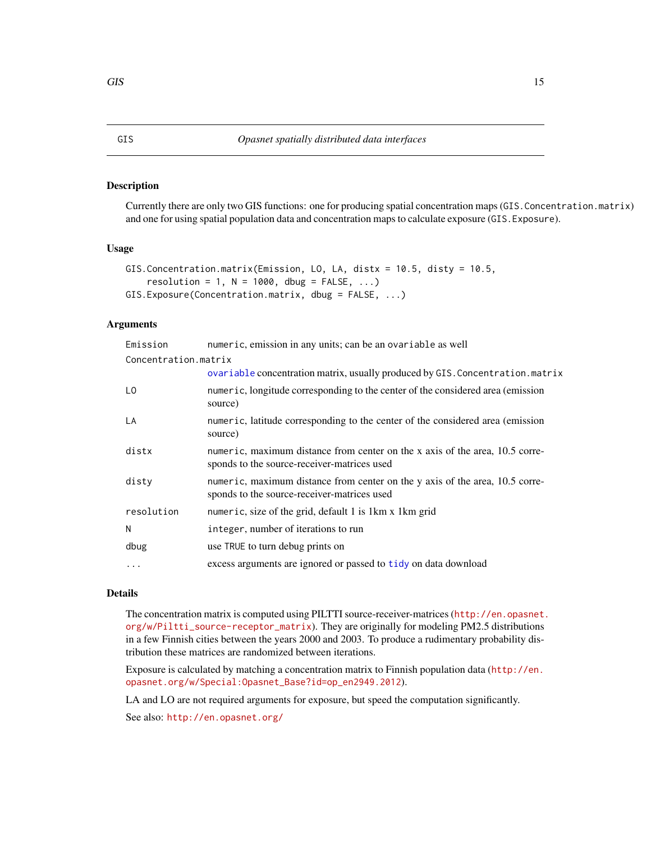<span id="page-14-0"></span>Currently there are only two GIS functions: one for producing spatial concentration maps (GIS.Concentration.matrix) and one for using spatial population data and concentration maps to calculate exposure (GIS.Exposure).

#### Usage

```
GIS.Concentration.matrix(Emission, LO, LA, distx = 10.5, disty = 10.5,
    resolution = 1, N = 1000, dbug = FALSE, ...)
GIS.Exposure(Concentration.matrix, dbug = FALSE, ...)
```
## Arguments

| Emission             | numeric, emission in any units; can be an ovariable as well                                                                 |
|----------------------|-----------------------------------------------------------------------------------------------------------------------------|
| Concentration.matrix |                                                                                                                             |
|                      | ovariable concentration matrix, usually produced by GIS. Concentration. matrix                                              |
| L <sub>0</sub>       | numeric, longitude corresponding to the center of the considered area (emission<br>source)                                  |
| LA                   | numeric, latitude corresponding to the center of the considered area (emission<br>source)                                   |
| distx                | numeric, maximum distance from center on the x axis of the area, 10.5 corre-<br>sponds to the source-receiver-matrices used |
| disty                | numeric, maximum distance from center on the y axis of the area, 10.5 corre-<br>sponds to the source-receiver-matrices used |
| resolution           | numeric, size of the grid, default 1 is 1km x 1km grid                                                                      |
| N                    | integer, number of iterations to run                                                                                        |
| dbug                 | use TRUE to turn debug prints on                                                                                            |
| .                    | excess arguments are ignored or passed to tidy on data download                                                             |

#### Details

The concentration matrix is computed using PILTTI source-receiver-matrices ([http://en.opasnet.](http://en.opasnet.org/w/Piltti_source-receptor_matrix) [org/w/Piltti\\_source-receptor\\_matrix](http://en.opasnet.org/w/Piltti_source-receptor_matrix)). They are originally for modeling PM2.5 distributions in a few Finnish cities between the years 2000 and 2003. To produce a rudimentary probability distribution these matrices are randomized between iterations.

Exposure is calculated by matching a concentration matrix to Finnish population data ([http://en.](http://en.opasnet.org/w/Special:Opasnet_Base?id=op_en2949.2012) [opasnet.org/w/Special:Opasnet\\_Base?id=op\\_en2949.2012](http://en.opasnet.org/w/Special:Opasnet_Base?id=op_en2949.2012)).

LA and LO are not required arguments for exposure, but speed the computation significantly.

See also: <http://en.opasnet.org/>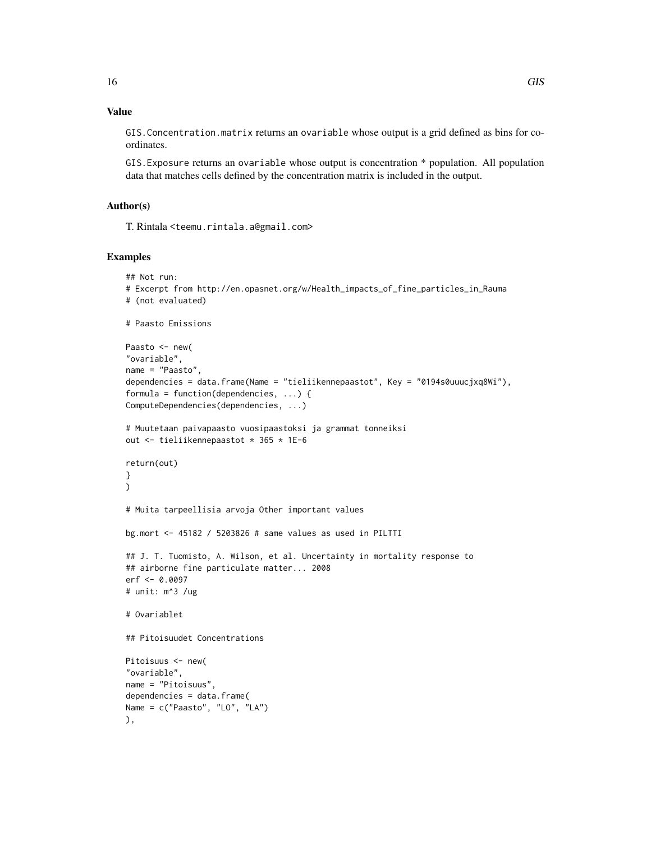## Value

GIS.Concentration.matrix returns an ovariable whose output is a grid defined as bins for coordinates.

GIS.Exposure returns an ovariable whose output is concentration \* population. All population data that matches cells defined by the concentration matrix is included in the output.

## Author(s)

T. Rintala <teemu.rintala.a@gmail.com>

```
## Not run:
# Excerpt from http://en.opasnet.org/w/Health_impacts_of_fine_particles_in_Rauma
# (not evaluated)
# Paasto Emissions
Paasto <- new(
"ovariable",
name = "Paasto",
dependencies = data.frame(Name = "tieliikennepaastot", Key = "0194s0uuucjxq8Wi"),
formula = function(dependencies, ...) {
ComputeDependencies(dependencies, ...)
# Muutetaan paivapaasto vuosipaastoksi ja grammat tonneiksi
out <- tieliikennepaastot * 365 * 1E-6
return(out)
}
\lambda# Muita tarpeellisia arvoja Other important values
bg.mort <- 45182 / 5203826 # same values as used in PILTTI
## J. T. Tuomisto, A. Wilson, et al. Uncertainty in mortality response to
## airborne fine particulate matter... 2008
erf <- 0.0097
# unit: m^3 /ug
# Ovariablet
## Pitoisuudet Concentrations
Pitoisuus <- new(
"ovariable",
name = "Pitoisuus",
dependencies = data.frame(
Name = c("Paasto", "LO", "LA")
),
```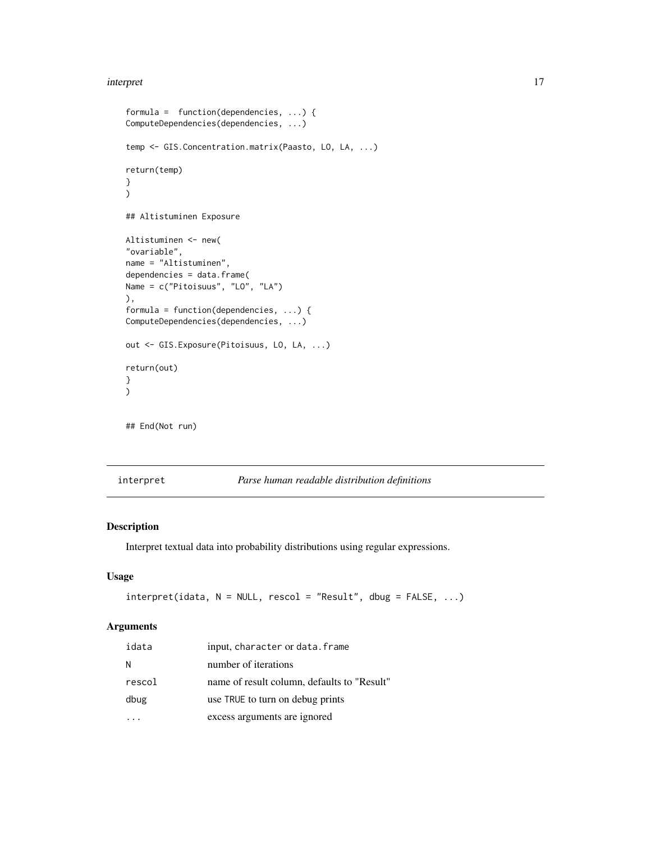#### <span id="page-16-0"></span>interpret that the contract of the contract of the contract of the contract of the contract of the contract of the contract of the contract of the contract of the contract of the contract of the contract of the contract of

```
formula = function(dependencies, ...) {
ComputeDependencies(dependencies, ...)
temp <- GIS.Concentration.matrix(Paasto, LO, LA, ...)
return(temp)
}
\mathcal{L}## Altistuminen Exposure
Altistuminen <- new(
"ovariable",
name = "Altistuminen",
dependencies = data.frame(
Name = c("Pitoisuus", "LO", "LA")
),
formula = function(dependencies, ...) {
ComputeDependencies(dependencies, ...)
out <- GIS.Exposure(Pitoisuus, LO, LA, ...)
return(out)
}
)
## End(Not run)
```
<span id="page-16-1"></span>

#### interpret *Parse human readable distribution definitions*

#### Description

Interpret textual data into probability distributions using regular expressions.

#### Usage

```
interpret(idata, N = NULL, rescol = "Result", dbug = FALSE, ...)
```
## Arguments

| idata  | input, character or data. frame             |
|--------|---------------------------------------------|
| N      | number of iterations                        |
| rescol | name of result column, defaults to "Result" |
| dbug   | use TRUE to turn on debug prints            |
|        | excess arguments are ignored                |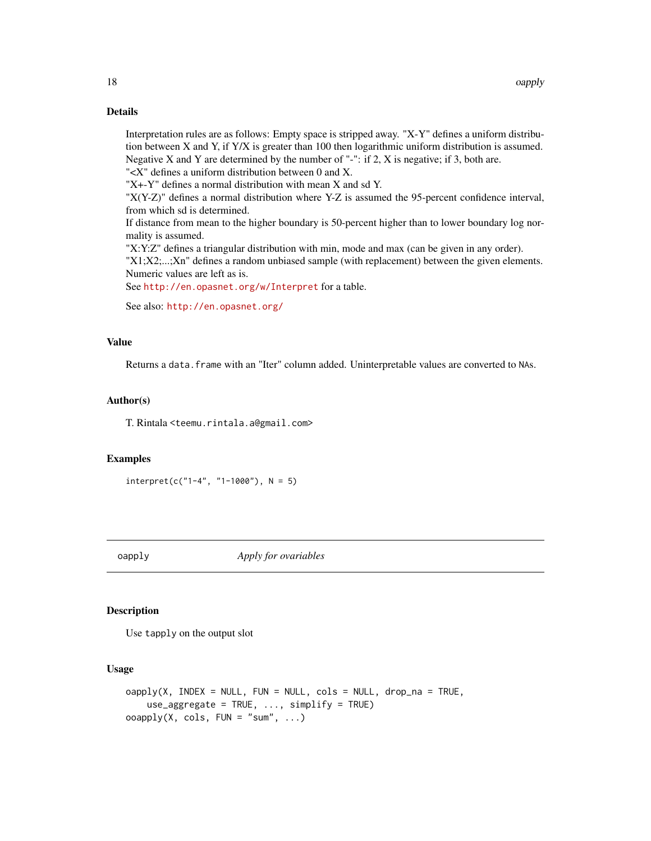## Details

Interpretation rules are as follows: Empty space is stripped away. "X-Y" defines a uniform distribution between X and Y, if Y/X is greater than 100 then logarithmic uniform distribution is assumed. Negative X and Y are determined by the number of "-": if  $2$ , X is negative; if  $3$ , both are.

"<X" defines a uniform distribution between 0 and X.

"X+-Y" defines a normal distribution with mean X and sd Y.

"X(Y-Z)" defines a normal distribution where Y-Z is assumed the 95-percent confidence interval, from which sd is determined.

If distance from mean to the higher boundary is 50-percent higher than to lower boundary log normality is assumed.

"X:Y:Z" defines a triangular distribution with min, mode and max (can be given in any order).

"X1;X2;...;Xn" defines a random unbiased sample (with replacement) between the given elements. Numeric values are left as is.

See <http://en.opasnet.org/w/Interpret> for a table.

See also: <http://en.opasnet.org/>

#### Value

Returns a data.frame with an "Iter" column added. Uninterpretable values are converted to NAs.

#### Author(s)

T. Rintala <teemu.rintala.a@gmail.com>

#### Examples

```
interpret(c("1-4", "1-1000"), N = 5)
```
<span id="page-17-1"></span>oapply *Apply for ovariables*

## **Description**

Use tapply on the output slot

#### Usage

```
oapply(X, INDEX = NULL, FUN = NULL, cols = NULL, drop_na = TRUE,use_aggregate = TRUE, ..., simplify = TRUE)
o \text{apply}(X, \text{cols}, \text{FUN} = "sum", \ldots)
```
<span id="page-17-0"></span>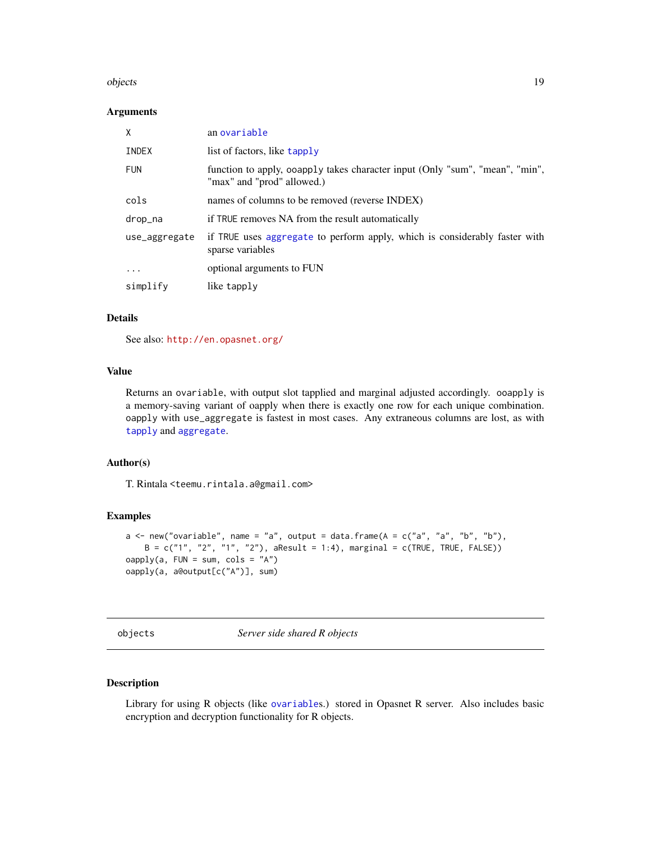#### <span id="page-18-0"></span>objects and the set of the set of the set of the set of the set of the set of the set of the set of the set of the set of the set of the set of the set of the set of the set of the set of the set of the set of the set of t

#### **Arguments**

| X             | an ovariable                                                                                               |
|---------------|------------------------------------------------------------------------------------------------------------|
| <b>INDEX</b>  | list of factors, like tapply                                                                               |
| <b>FUN</b>    | function to apply, ooapply takes character input (Only "sum", "mean", "min",<br>"max" and "prod" allowed.) |
| cols          | names of columns to be removed (reverse INDEX)                                                             |
| drop_na       | if TRUE removes NA from the result automatically                                                           |
| use_aggregate | if TRUE uses aggregate to perform apply, which is considerably faster with<br>sparse variables             |
| $\ddotsc$     | optional arguments to FUN                                                                                  |
| simplify      | like tapply                                                                                                |

## Details

See also: <http://en.opasnet.org/>

## Value

Returns an ovariable, with output slot tapplied and marginal adjusted accordingly. ooapply is a memory-saving variant of oapply when there is exactly one row for each unique combination. oapply with use\_aggregate is fastest in most cases. Any extraneous columns are lost, as with [tapply](#page-0-0) and [aggregate](#page-0-0).

#### Author(s)

T. Rintala <teemu.rintala.a@gmail.com>

#### Examples

```
a \leq new("ovariable", name = "a", output = data-frame(A = c("a", "a", "b", "b"),B = c("1", "2", "1", "2"), aResult = 1:4), marginal = c(TRUE, TRUE, FALSE))
oapply(a, FUN = sum, cols = "A")
oapply(a, a@output[c("A")], sum)
```
objects *Server side shared R objects*

## <span id="page-18-1"></span>Description

Library for using R objects (like [ovariable](#page-34-1)s.) stored in Opasnet R server. Also includes basic encryption and decryption functionality for R objects.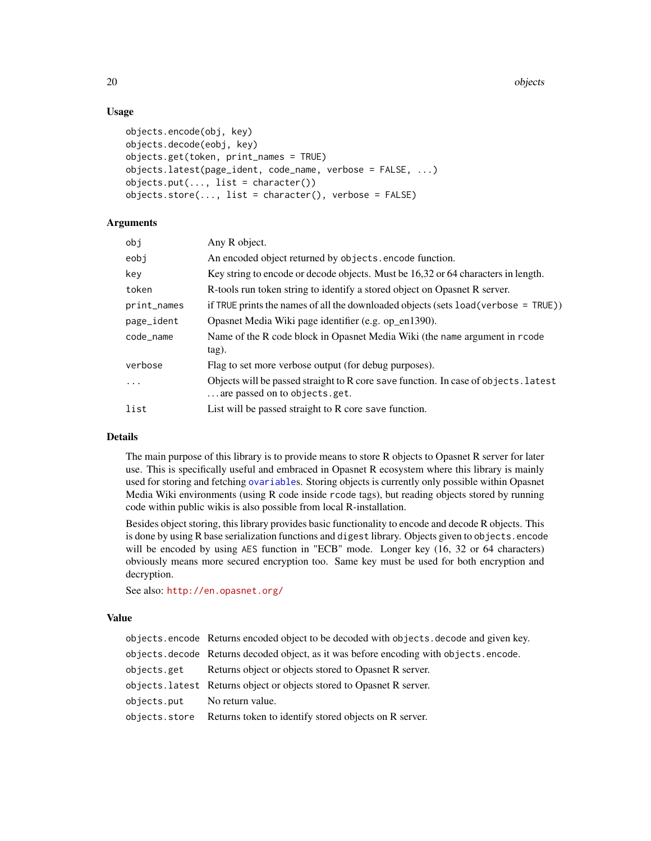20 objects and the contract of the contract of the contract of the contract of the contract of the contract of

## Usage

```
objects.encode(obj, key)
objects.decode(eobj, key)
objects.get(token, print_names = TRUE)
objects.latest(page_ident, code_name, verbose = FALSE, ...)
objects.put(..., list = character())objects.store(..., list = character(), verbose = FALSE)
```
#### Arguments

| obj         | Any R object.                                                                                                        |
|-------------|----------------------------------------------------------------------------------------------------------------------|
| eobj        | An encoded object returned by objects. encode function.                                                              |
| kev         | Key string to encode or decode objects. Must be 16,32 or 64 characters in length.                                    |
| token       | R-tools run token string to identify a stored object on Opasnet R server.                                            |
| print_names | if TRUE prints the names of all the downloaded objects (sets load (verbose = TRUE))                                  |
| page_ident  | Opasnet Media Wiki page identifier (e.g. op_en1390).                                                                 |
| code_name   | Name of the R code block in Opasnet Media Wiki (the name argument in rcode<br>tag).                                  |
| verbose     | Flag to set more verbose output (for debug purposes).                                                                |
| $\ddots$ .  | Objects will be passed straight to R core save function. In case of objects, latest<br>are passed on to objects.get. |
| list        | List will be passed straight to R core save function.                                                                |
|             |                                                                                                                      |

## Details

The main purpose of this library is to provide means to store R objects to Opasnet R server for later use. This is specifically useful and embraced in Opasnet R ecosystem where this library is mainly used for storing and fetching [ovariable](#page-34-1)s. Storing objects is currently only possible within Opasnet Media Wiki environments (using R code inside rcode tags), but reading objects stored by running code within public wikis is also possible from local R-installation.

Besides object storing, this library provides basic functionality to encode and decode R objects. This is done by using R base serialization functions and digest library. Objects given to objects.encode will be encoded by using AES function in "ECB" mode. Longer key (16, 32 or 64 characters) obviously means more secured encryption too. Same key must be used for both encryption and decryption.

See also: <http://en.opasnet.org/>

## Value

|                              | objects encode Returns encoded object to be decoded with objects decode and given key. |  |
|------------------------------|----------------------------------------------------------------------------------------|--|
|                              | objects decode Returns decoded object, as it was before encoding with objects encode.  |  |
| objects.get                  | Returns object or objects stored to Opasnet R server.                                  |  |
|                              | objects. Latest Returns object or objects stored to Opasnet R server.                  |  |
| objects.put No return value. |                                                                                        |  |
|                              | objects.store Returns token to identify stored objects on R server.                    |  |

<span id="page-19-0"></span>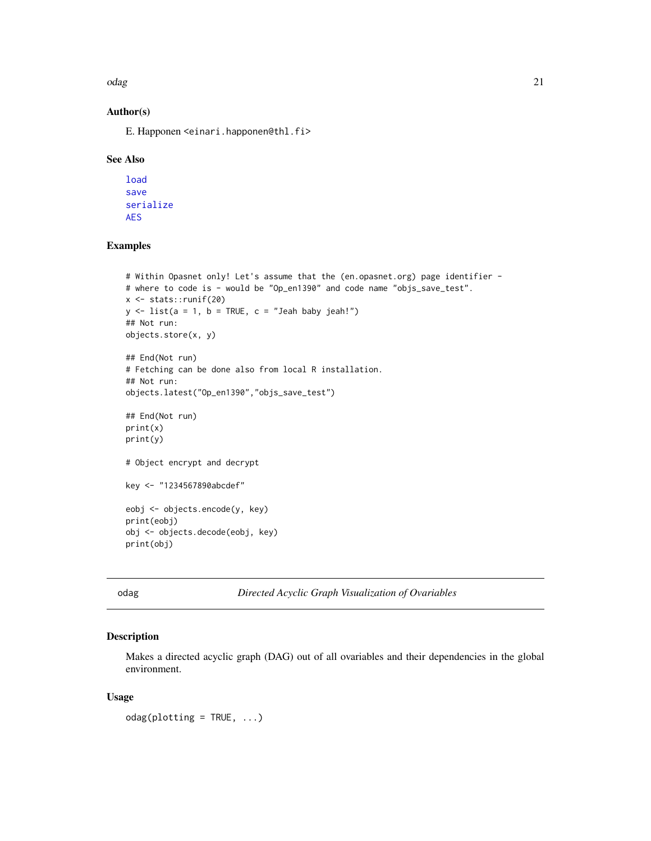<span id="page-20-0"></span>odag 21 and 22 and 22 and 22 and 22 and 22 and 22 and 22 and 22 and 22 and 22 and 22 and 22 and 22 and 22 and 22 and 22 and 22 and 22 and 22 and 22 and 22 and 22 and 22 and 22 and 22 and 22 and 22 and 22 and 22 and 22 and

## Author(s)

E. Happonen <einari.happonen@thl.fi>

#### See Also

```
load
save
serialize
AES
```
## Examples

```
# Within Opasnet only! Let's assume that the (en.opasnet.org) page identifier -
# where to code is - would be "Op_en1390" and code name "objs_save_test".
x <- stats::runif(20)
y \le - list(a = 1, b = TRUE, c = "Jeah baby jeah!")
## Not run:
objects.store(x, y)
## End(Not run)
# Fetching can be done also from local R installation.
## Not run:
objects.latest("Op_en1390","objs_save_test")
## End(Not run)
print(x)
print(y)
# Object encrypt and decrypt
key <- "1234567890abcdef"
eobj <- objects.encode(y, key)
print(eobj)
obj <- objects.decode(eobj, key)
print(obj)
```
odag *Directed Acyclic Graph Visualization of Ovariables*

## Description

Makes a directed acyclic graph (DAG) out of all ovariables and their dependencies in the global environment.

#### Usage

 $odag(plotting = TRUE, ...)$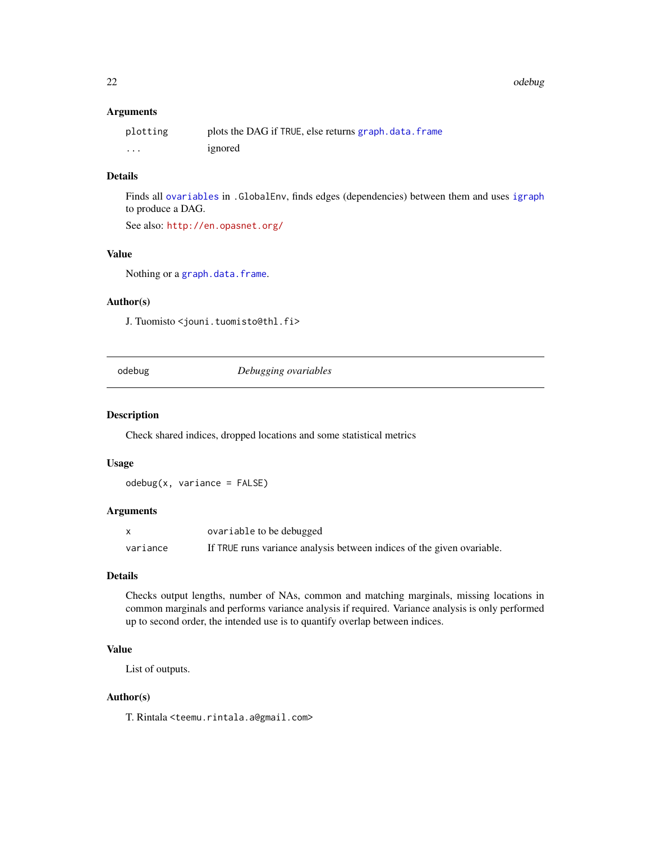<span id="page-21-0"></span>22 odebug

#### Arguments

| plotting | plots the DAG if TRUE, else returns graph.data.frame |
|----------|------------------------------------------------------|
| .        | ignored                                              |

## Details

Finds all [ovariables](#page-34-2) in .GlobalEnv, finds edges (dependencies) between them and uses [igraph](#page-0-0) to produce a DAG.

See also: <http://en.opasnet.org/>

## Value

Nothing or a [graph.data.frame](#page-0-0).

#### Author(s)

J. Tuomisto <jouni.tuomisto@thl.fi>

odebug *Debugging ovariables*

## Description

Check shared indices, dropped locations and some statistical metrics

#### Usage

odebug(x, variance = FALSE)

## Arguments

| X        | ovariable to be debugged                                               |
|----------|------------------------------------------------------------------------|
| variance | If TRUE runs variance analysis between indices of the given ovariable. |

#### Details

Checks output lengths, number of NAs, common and matching marginals, missing locations in common marginals and performs variance analysis if required. Variance analysis is only performed up to second order, the intended use is to quantify overlap between indices.

## Value

List of outputs.

#### Author(s)

T. Rintala <teemu.rintala.a@gmail.com>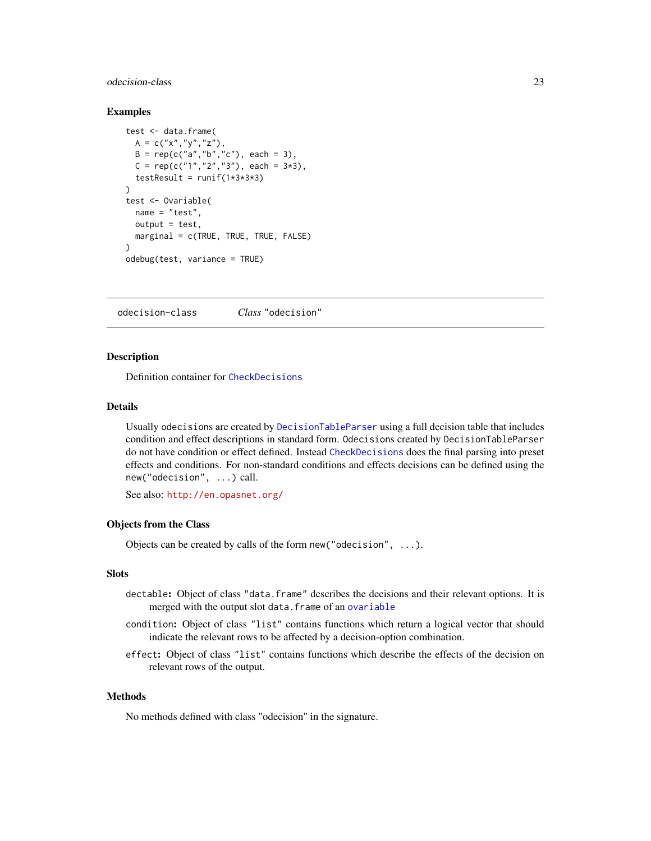## <span id="page-22-0"></span>odecision-class 23

#### Examples

```
test <- data.frame(
 A = C("x", "y", "z"),
 B = rep(c("a", "b", "c"), each = 3),C = \text{rep}(c("1", "2", "3"), each = 3*3),
 testResult = runif(1*3*3*3))
test <- Ovariable(
 name = "test",
 output = test,
 marginal = c(TRUE, TRUE, TRUE, FALSE)
)
odebug(test, variance = TRUE)
```
<span id="page-22-1"></span>odecision-class *Class* "odecision"

## <span id="page-22-2"></span>Description

Definition container for [CheckDecisions](#page-1-1)

#### Details

Usually odecisions are created by [DecisionTableParser](#page-9-1) using a full decision table that includes condition and effect descriptions in standard form. Odecisions created by DecisionTableParser do not have condition or effect defined. Instead [CheckDecisions](#page-1-1) does the final parsing into preset effects and conditions. For non-standard conditions and effects decisions can be defined using the new("odecision", ...) call.

See also: <http://en.opasnet.org/>

#### Objects from the Class

Objects can be created by calls of the form new("odecision", ...).

#### Slots

- dectable: Object of class "data.frame" describes the decisions and their relevant options. It is merged with the output slot data.frame of an [ovariable](#page-34-1)
- condition: Object of class "list" contains functions which return a logical vector that should indicate the relevant rows to be affected by a decision-option combination.
- effect: Object of class "list" contains functions which describe the effects of the decision on relevant rows of the output.

#### Methods

No methods defined with class "odecision" in the signature.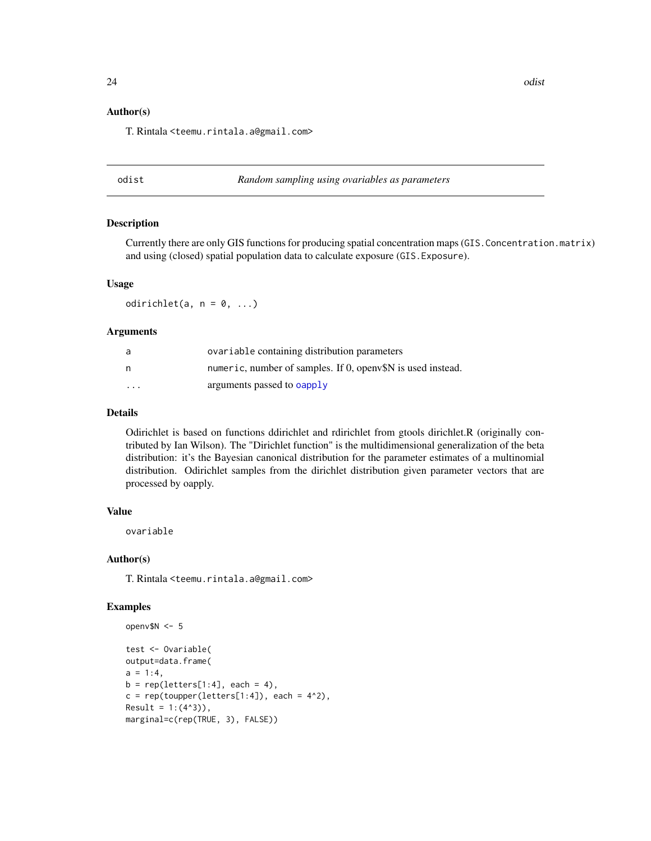#### <span id="page-23-0"></span>Author(s)

T. Rintala <teemu.rintala.a@gmail.com>

odist *Random sampling using ovariables as parameters*

#### Description

Currently there are only GIS functions for producing spatial concentration maps (GIS.Concentration.matrix) and using (closed) spatial population data to calculate exposure (GIS.Exposure).

### Usage

odirichlet(a,  $n = 0, ...$ )

## Arguments

| a        | ovariable containing distribution parameters               |
|----------|------------------------------------------------------------|
| n        | numeric, number of samples. If 0, open SN is used instead. |
| $\cdots$ | arguments passed to <b>oapply</b>                          |

## Details

Odirichlet is based on functions ddirichlet and rdirichlet from gtools dirichlet.R (originally contributed by Ian Wilson). The "Dirichlet function" is the multidimensional generalization of the beta distribution: it's the Bayesian canonical distribution for the parameter estimates of a multinomial distribution. Odirichlet samples from the dirichlet distribution given parameter vectors that are processed by oapply.

## Value

ovariable

#### Author(s)

T. Rintala <teemu.rintala.a@gmail.com>

```
openv$N <- 5
test <- Ovariable(
output=data.frame(
a = 1:4,
b = rep(leftters[1:4], each = 4),c = rep(toupper(leftters[1:4]), each = 4<sup>2</sup>),Result = 1:(4^{x}3)),
marginal=c(rep(TRUE, 3), FALSE))
```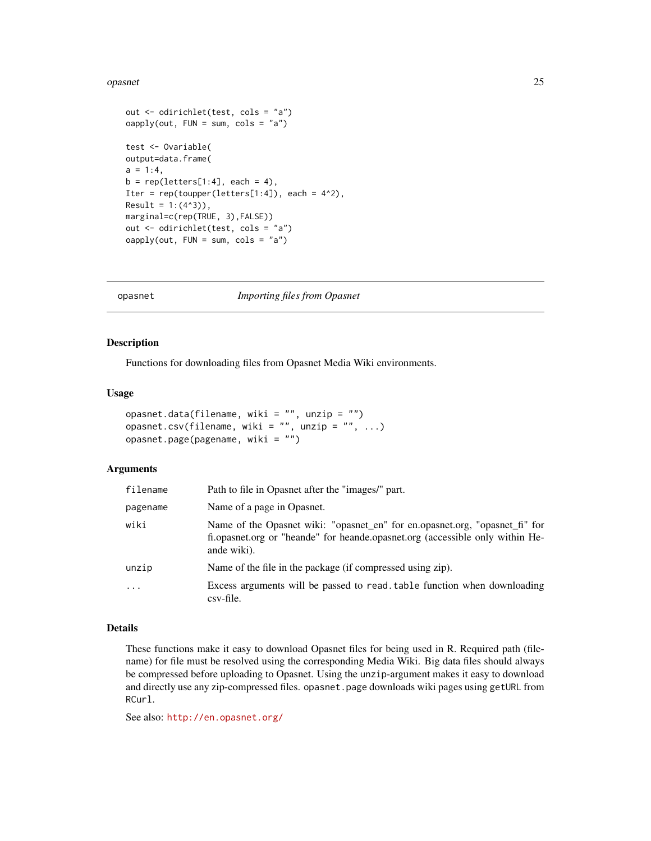#### <span id="page-24-0"></span>opasnet 25

```
out <- odirichlet(test, cols = "a")
\text{oapply}(\text{out}, \text{FUN} = \text{sum}, \text{cols} = "a")test <- Ovariable(
output=data.frame(
a = 1:4,
b = rep(leftters[1:4], each = 4),Iter = rep(toupper(leters[1:4]), each = 4^2),Result = 1: (4<sup>4</sup>3)),marginal=c(rep(TRUE, 3),FALSE))
out <- odirichlet(test, cols = "a")
oapply(out, FUN = sum, cols = "a")
```
opasnet *Importing files from Opasnet*

#### Description

Functions for downloading files from Opasnet Media Wiki environments.

#### Usage

```
opasnet.data(filename, wiki = "", unzip = "")
opasnet.csv(filename, wiki = "", unzip = "", ...)
opasnet.page(pagename, wiki = "")
```
#### Arguments

| filename | Path to file in Opasnet after the "images" part.                                                                                                                            |
|----------|-----------------------------------------------------------------------------------------------------------------------------------------------------------------------------|
| pagename | Name of a page in Opasnet.                                                                                                                                                  |
| wiki     | Name of the Opasnet wiki: "opasnet_en" for en.opasnet.org, "opasnet_fi" for<br>fi.opasnet.org or "heande" for heande.opasnet.org (accessible only within He-<br>ande wiki). |
| unzip    | Name of the file in the package (if compressed using zip).                                                                                                                  |
| $\cdot$  | Excess arguments will be passed to read. table function when downloading<br>csv-file.                                                                                       |

#### Details

These functions make it easy to download Opasnet files for being used in R. Required path (filename) for file must be resolved using the corresponding Media Wiki. Big data files should always be compressed before uploading to Opasnet. Using the unzip-argument makes it easy to download and directly use any zip-compressed files. opasnet.page downloads wiki pages using getURL from RCurl.

See also: <http://en.opasnet.org/>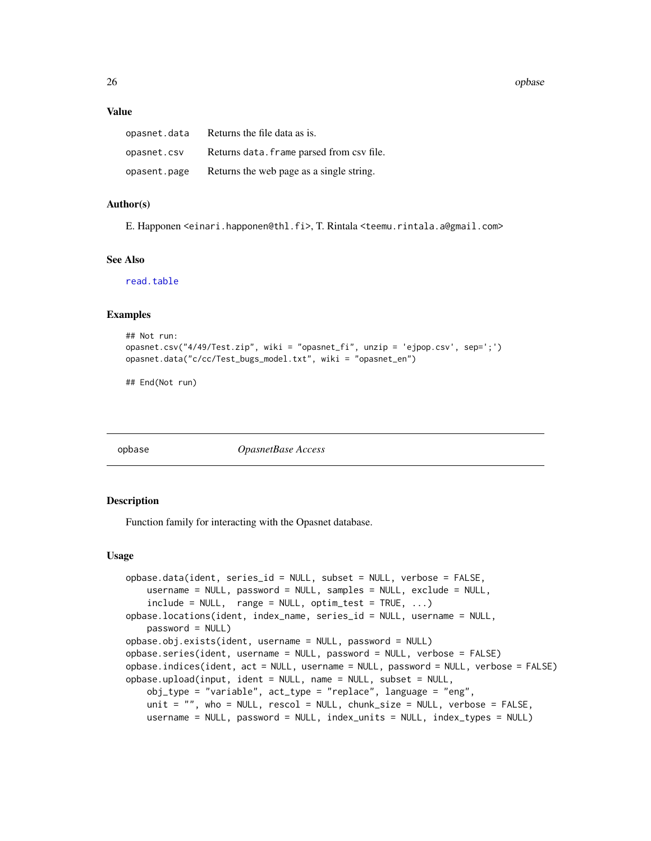<span id="page-25-0"></span>26 opbase

#### Value

| opasnet.data | Returns the file data as is.              |
|--------------|-------------------------------------------|
| opasnet.csv  | Returns data. frame parsed from csv file. |
| opasent.page | Returns the web page as a single string.  |

## Author(s)

E. Happonen <einari.happonen@thl.fi>, T. Rintala <teemu.rintala.a@gmail.com>

#### See Also

[read.table](#page-0-0)

## Examples

```
## Not run:
opasnet.csv("4/49/Test.zip", wiki = "opasnet_fi", unzip = 'ejpop.csv', sep=';')
opasnet.data("c/cc/Test_bugs_model.txt", wiki = "opasnet_en")
```
## End(Not run)

<span id="page-25-1"></span>

opbase *OpasnetBase Access*

#### <span id="page-25-2"></span>Description

Function family for interacting with the Opasnet database.

#### Usage

```
opbase.data(ident, series_id = NULL, subset = NULL, verbose = FALSE,
   username = NULL, password = NULL, samples = NULL, exclude = NULL,
    include = NULL, range = NULL, optimal test = TRUE, ...opbase.locations(ident, index_name, series_id = NULL, username = NULL,
   password = NULL)
opbase.obj.exists(ident, username = NULL, password = NULL)
opbase.series(ident, username = NULL, password = NULL, verbose = FALSE)
opbase.indices(ident, act = NULL, username = NULL, password = NULL, verbose = FALSE)
opbase.upload(input, ident = NULL, name = NULL, subset = NULL,
   obj_type = "variable", act_type = "replace", language = "eng",
   unit = ", who = NULL, rescol = NULL, chunk_size = NULL, verbose = FALSE,
   username = NULL, password = NULL, index_units = NULL, index_types = NULL)
```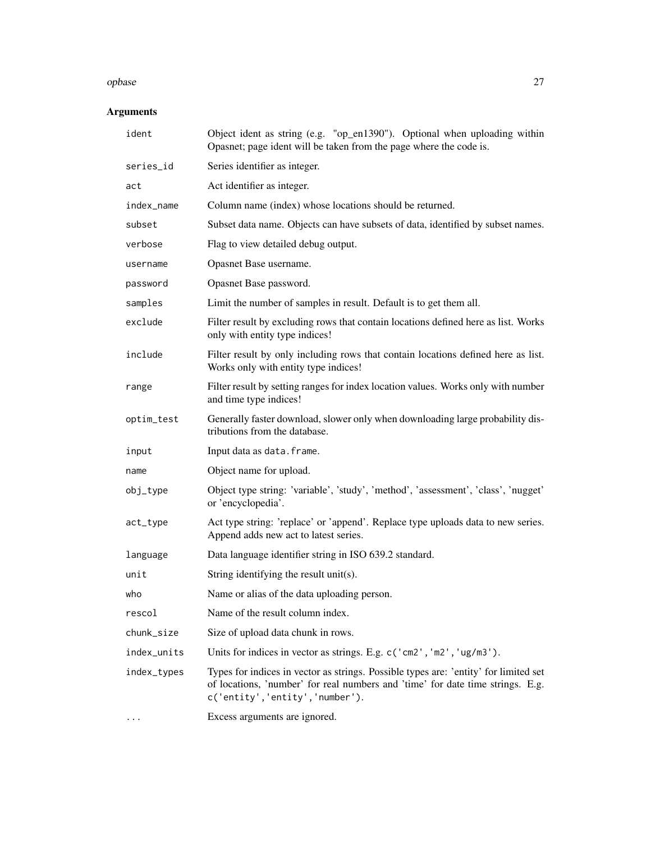#### opbase 27

## Arguments

| ident       | Object ident as string (e.g. "op_en1390"). Optional when uploading within<br>Opasnet; page ident will be taken from the page where the code is.                                                          |
|-------------|----------------------------------------------------------------------------------------------------------------------------------------------------------------------------------------------------------|
| series_id   | Series identifier as integer.                                                                                                                                                                            |
| act         | Act identifier as integer.                                                                                                                                                                               |
| index_name  | Column name (index) whose locations should be returned.                                                                                                                                                  |
| subset      | Subset data name. Objects can have subsets of data, identified by subset names.                                                                                                                          |
| verbose     | Flag to view detailed debug output.                                                                                                                                                                      |
| username    | Opasnet Base username.                                                                                                                                                                                   |
| password    | Opasnet Base password.                                                                                                                                                                                   |
| samples     | Limit the number of samples in result. Default is to get them all.                                                                                                                                       |
| exclude     | Filter result by excluding rows that contain locations defined here as list. Works<br>only with entity type indices!                                                                                     |
| include     | Filter result by only including rows that contain locations defined here as list.<br>Works only with entity type indices!                                                                                |
| range       | Filter result by setting ranges for index location values. Works only with number<br>and time type indices!                                                                                              |
| optim_test  | Generally faster download, slower only when downloading large probability dis-<br>tributions from the database.                                                                                          |
| input       | Input data as data. frame.                                                                                                                                                                               |
| name        | Object name for upload.                                                                                                                                                                                  |
| obj_type    | Object type string: 'variable', 'study', 'method', 'assessment', 'class', 'nugget'<br>or 'encyclopedia'.                                                                                                 |
| act_type    | Act type string: 'replace' or 'append'. Replace type uploads data to new series.<br>Append adds new act to latest series.                                                                                |
| language    | Data language identifier string in ISO 639.2 standard.                                                                                                                                                   |
| unit        | String identifying the result unit(s).                                                                                                                                                                   |
| who         | Name or alias of the data uploading person.                                                                                                                                                              |
| rescol      | Name of the result column index.                                                                                                                                                                         |
| chunk_size  | Size of upload data chunk in rows.                                                                                                                                                                       |
| index_units | Units for indices in vector as strings. E.g. c('cm2', 'm2', 'ug/m3').                                                                                                                                    |
| index_types | Types for indices in vector as strings. Possible types are: 'entity' for limited set<br>of locations, 'number' for real numbers and 'time' for date time strings. E.g.<br>c('entity','entity','number'). |
| $\cdots$    | Excess arguments are ignored.                                                                                                                                                                            |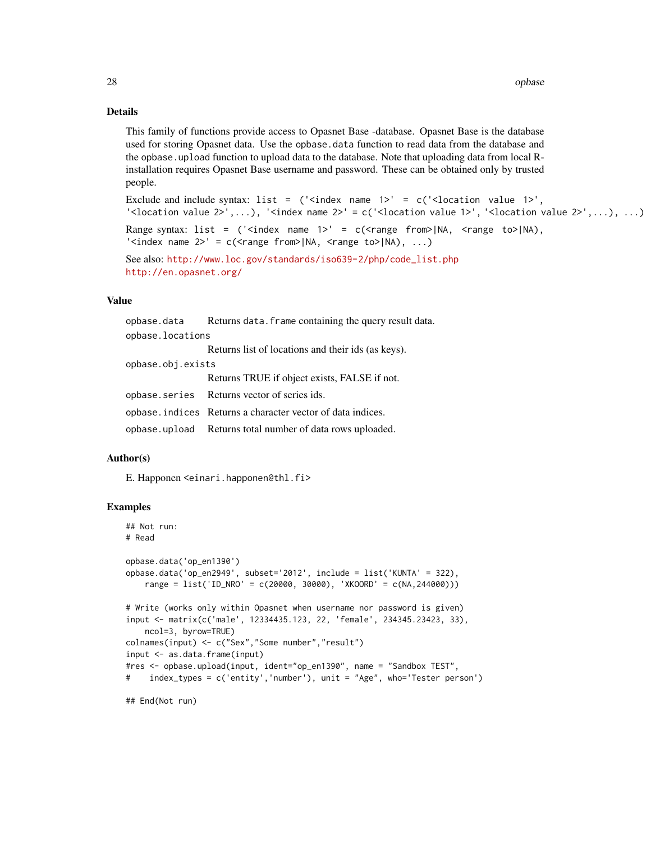## Details

This family of functions provide access to Opasnet Base -database. Opasnet Base is the database used for storing Opasnet data. Use the opbase.data function to read data from the database and the opbase.upload function to upload data to the database. Note that uploading data from local Rinstallation requires Opasnet Base username and password. These can be obtained only by trusted people.

```
Exclude and include syntax: list = ('<i>index name 1</i>)' = c('<i>location value 1</i>)','<location value 2>',...), '<index name 2>' = c('<location value 1>', '<location value 2>',...), ...)
Range syntax: list = ('<index name 1>' = c(<range from>|NA, <range to>|NA),
'<index name 2>' = c(<range from>|NA, <range to>|NA), ...)
```

```
See also: http://www.loc.gov/standards/iso639-2/php/code_list.php
http://en.opasnet.org/
```
## Value

|                   | opbase.data Returns data.frame containing the query result data. |
|-------------------|------------------------------------------------------------------|
| opbase.locations  |                                                                  |
|                   | Returns list of locations and their ids (as keys).               |
| opbase.obj.exists |                                                                  |
|                   | Returns TRUE if object exists, FALSE if not.                     |
|                   | opbase. series Returns vector of series ids.                     |
|                   | opbase. indices Returns a character vector of data indices.      |
|                   | opbase.upload Returns total number of data rows uploaded.        |

#### Author(s)

E. Happonen <einari.happonen@thl.fi>

```
## Not run:
# Read
opbase.data('op_en1390')
opbase.data('op_en2949', subset='2012', include = list('KUNTA' = 322),
   range = list('ID_NRO' = c(20000, 30000), 'XKOORD' = c(NA,244000)))
# Write (works only within Opasnet when username nor password is given)
input <- matrix(c('male', 12334435.123, 22, 'female', 234345.23423, 33),
    ncol=3, byrow=TRUE)
colnames(input) <- c("Sex","Some number","result")
input <- as.data.frame(input)
#res <- opbase.upload(input, ident="op_en1390", name = "Sandbox TEST",
# index_types = c('entity','number'), unit = "Age", who='Tester person')
## End(Not run)
```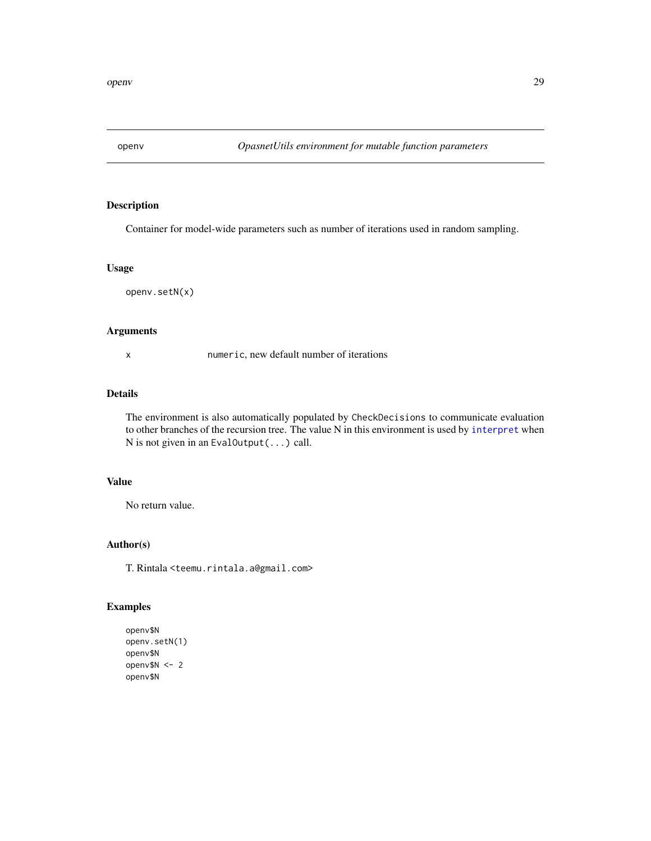<span id="page-28-0"></span>

Container for model-wide parameters such as number of iterations used in random sampling.

#### Usage

openv.setN(x)

#### Arguments

x numeric, new default number of iterations

## Details

The environment is also automatically populated by CheckDecisions to communicate evaluation to other branches of the recursion tree. The value N in this environment is used by [interpret](#page-16-1) when N is not given in an EvalOutput(...) call.

## Value

No return value.

## Author(s)

T. Rintala <teemu.rintala.a@gmail.com>

```
openv$N
openv.setN(1)
openv$N
openv$N <- 2
openv$N
```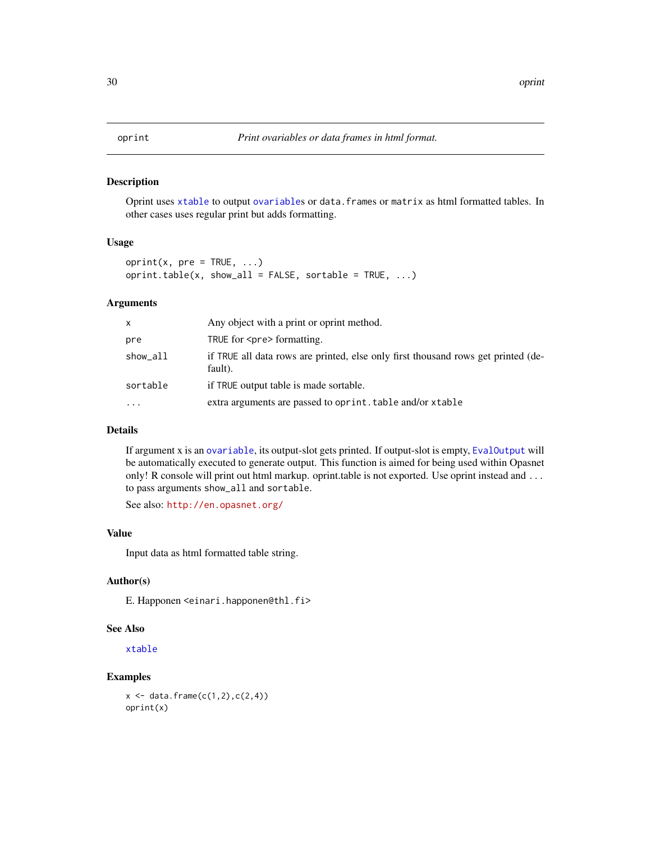<span id="page-29-0"></span>Oprint uses [xtable](#page-0-0) to output [ovariable](#page-34-1)s or data.frames or matrix as html formatted tables. In other cases uses regular print but adds formatting.

#### Usage

```
oprint(x, pre = TRUE, ...)oprint.table(x, show_all = FALSE, sortable = TRUE, ...)
```
## Arguments

| X         | Any object with a print or oprint method.                                                    |
|-----------|----------------------------------------------------------------------------------------------|
| pre       | TRUE for <pre> formatting.</pre>                                                             |
| show_all  | if TRUE all data rows are printed, else only first thousand rows get printed (de-<br>fault). |
| sortable  | if TRUE output table is made sortable.                                                       |
| $\ddotsc$ | extra arguments are passed to oprint. table and/or xtable                                    |

## Details

If argument x is an [ovariable](#page-34-1), its output-slot gets printed. If output-slot is empty, [EvalOutput](#page-11-1) will be automatically executed to generate output. This function is aimed for being used within Opasnet only! R console will print out html markup. oprint.table is not exported. Use oprint instead and ... to pass arguments show\_all and sortable.

See also: <http://en.opasnet.org/>

#### Value

Input data as html formatted table string.

#### Author(s)

E. Happonen <einari.happonen@thl.fi>

## See Also

[xtable](#page-0-0)

## Examples

 $x \leftarrow \text{data-frame}(c(1, 2), c(2, 4))$ oprint(x)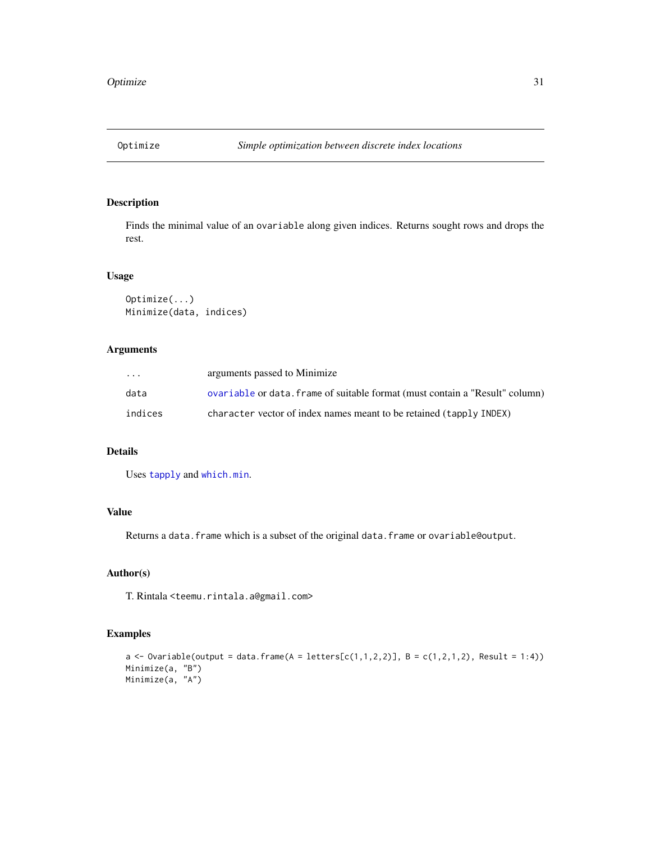<span id="page-30-0"></span>

Finds the minimal value of an ovariable along given indices. Returns sought rows and drops the rest.

#### Usage

```
Optimize(...)
Minimize(data, indices)
```
## Arguments

| .       | arguments passed to Minimize                                                 |
|---------|------------------------------------------------------------------------------|
| data    | ovariable or data. frame of suitable format (must contain a "Result" column) |
| indices | character vector of index names meant to be retained (tapply INDEX)          |

## Details

Uses [tapply](#page-0-0) and [which.min](#page-0-0).

## Value

Returns a data. frame which is a subset of the original data. frame or ovariable@output.

## Author(s)

T. Rintala <teemu.rintala.a@gmail.com>

```
a \leftarrow Ovariable(output = data.frame(A = letters[c(1,1,2,2)], B = c(1,2,1,2), Result = 1:4))
Minimize(a, "B")
Minimize(a, "A")
```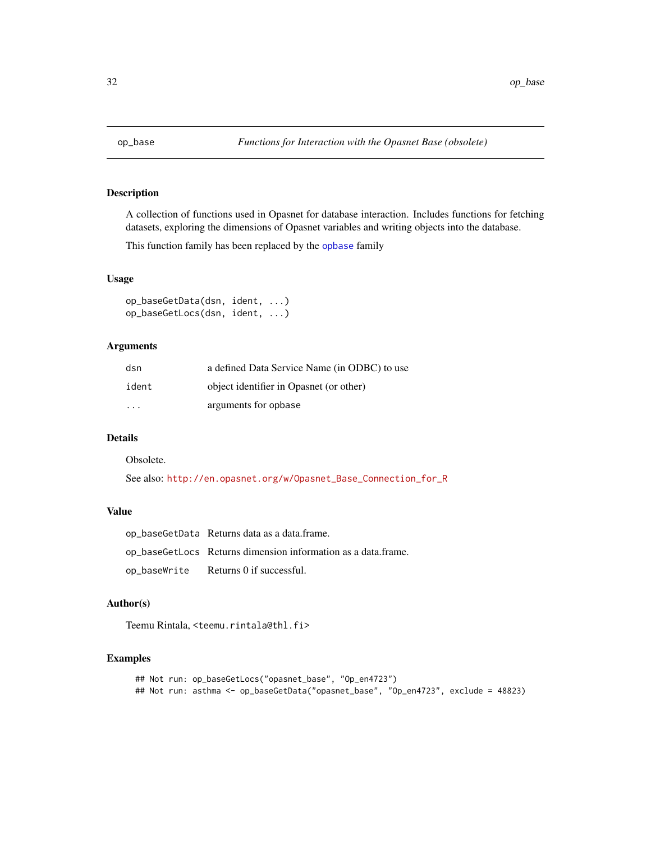<span id="page-31-0"></span>

A collection of functions used in Opasnet for database interaction. Includes functions for fetching datasets, exploring the dimensions of Opasnet variables and writing objects into the database.

This function family has been replaced by the [opbase](#page-25-1) family

## Usage

```
op_baseGetData(dsn, ident, ...)
op_baseGetLocs(dsn, ident, ...)
```
## Arguments

| dsn     | a defined Data Service Name (in ODBC) to use |
|---------|----------------------------------------------|
| ident   | object identifier in Opasnet (or other)      |
| $\cdot$ | arguments for opbase                         |

## Details

Obsolete.

See also: [http://en.opasnet.org/w/Opasnet\\_Base\\_Connection\\_for\\_R](http://en.opasnet.org/w/Opasnet_Base_Connection_for_R)

## Value

| op_baseGetData Returns data as a data.frame.                  |
|---------------------------------------------------------------|
| op_baseGetLocs Returns dimension information as a data.frame. |
| $op_baseWrite$ Returns 0 if successful.                       |

## Author(s)

Teemu Rintala, <teemu.rintala@thl.fi>

```
## Not run: op_baseGetLocs("opasnet_base", "Op_en4723")
## Not run: asthma <- op_baseGetData("opasnet_base", "Op_en4723", exclude = 48823)
```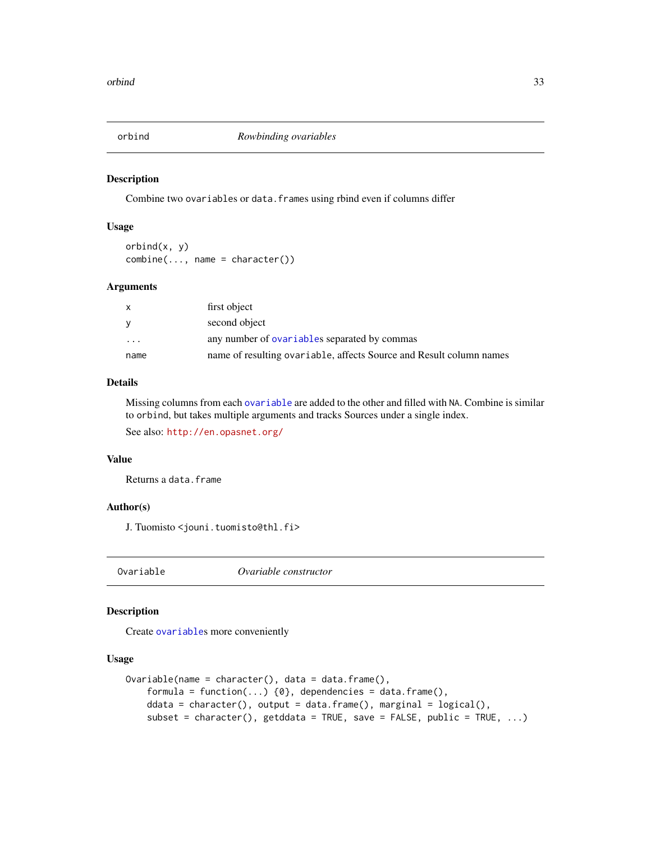<span id="page-32-0"></span>

Combine two ovariables or data.frames using rbind even if columns differ

#### Usage

orbind(x, y)  $combine(\ldots, name = character())$ 

## Arguments

| X                 | first object                                                        |
|-------------------|---------------------------------------------------------------------|
| V                 | second object                                                       |
| $\cdot\cdot\cdot$ | any number of ovariables separated by commas                        |
| name              | name of resulting ovariable, affects Source and Result column names |

## Details

Missing columns from each [ovariable](#page-34-1) are added to the other and filled with NA. Combine is similar to orbind, but takes multiple arguments and tracks Sources under a single index. See also: <http://en.opasnet.org/>

#### Value

Returns a data.frame

#### Author(s)

J. Tuomisto <jouni.tuomisto@thl.fi>

<span id="page-32-1"></span>Ovariable *Ovariable constructor*

#### Description

Create [ovariable](#page-34-1)s more conveniently

### Usage

```
Ovariable(name = character(), data = data.frame(),formula = function(...) \{0\}, dependencies = data.frame(),
   ddata = character(), output = data.frame(), marginal = logical(),
    subset = character(), getddata = TRUE, save = FALSE, public = TRUE, ...)
```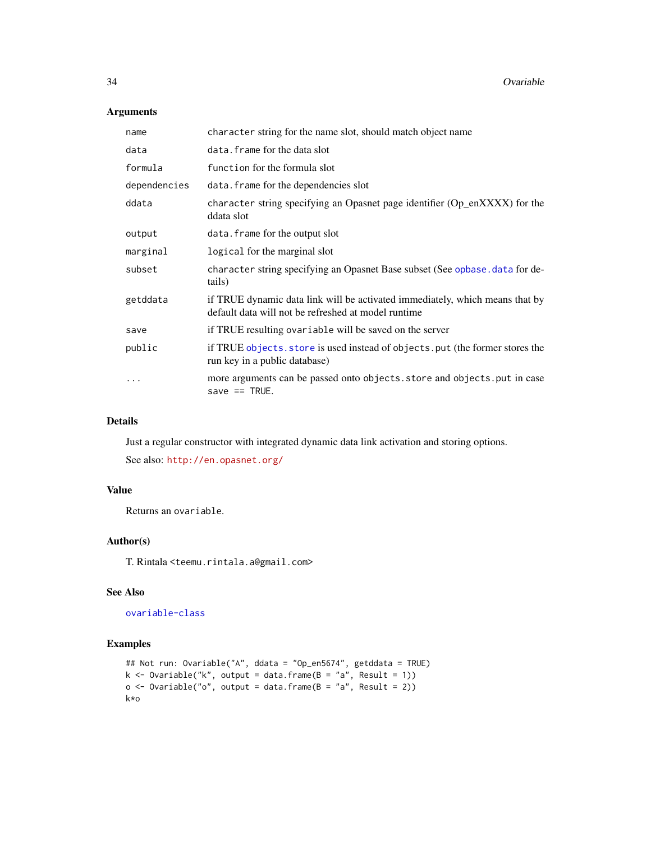## Arguments

| name         | character string for the name slot, should match object name                                                                        |
|--------------|-------------------------------------------------------------------------------------------------------------------------------------|
| data         | data. frame for the data slot                                                                                                       |
| formula      | function for the formula slot                                                                                                       |
| dependencies | data. frame for the dependencies slot                                                                                               |
| ddata        | character string specifying an Opasnet page identifier (Op_enXXXX) for the<br>ddata slot                                            |
| output       | data. frame for the output slot                                                                                                     |
| marginal     | logical for the marginal slot                                                                                                       |
| subset       | character string specifying an Opasnet Base subset (See opbase . data for de-<br>tails)                                             |
| getddata     | if TRUE dynamic data link will be activated immediately, which means that by<br>default data will not be refreshed at model runtime |
| save         | if TRUE resulting ovariable will be saved on the server                                                                             |
| public       | if TRUE objects, store is used instead of objects, put (the former stores the<br>run key in a public database)                      |
| $\ddots$ .   | more arguments can be passed onto objects. store and objects. put in case<br>save $==$ TRUE.                                        |

## Details

Just a regular constructor with integrated dynamic data link activation and storing options.

See also: <http://en.opasnet.org/>

## Value

Returns an ovariable.

## Author(s)

T. Rintala <teemu.rintala.a@gmail.com>

## See Also

[ovariable-class](#page-34-2)

```
## Not run: Ovariable("A", ddata = "Op_en5674", getddata = TRUE)
k <- Ovariable("k", output = data.frame(B = "a", Result = 1))
o \leq 0variable("o", output = data.frame(B = "a", Result = 2))
k*o
```
<span id="page-33-0"></span>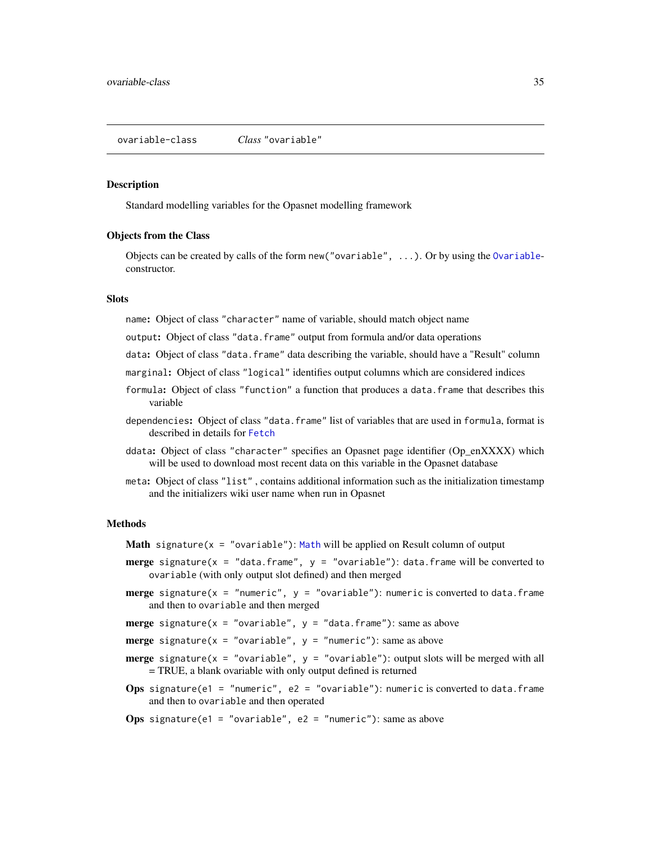<span id="page-34-2"></span><span id="page-34-1"></span><span id="page-34-0"></span>Standard modelling variables for the Opasnet modelling framework

#### Objects from the Class

Objects can be created by calls of the form new("ovariable", ...). Or by using the [Ovariable](#page-32-1)constructor.

## Slots

name: Object of class "character" name of variable, should match object name

output: Object of class "data.frame" output from formula and/or data operations

data: Object of class "data.frame" data describing the variable, should have a "Result" column

- marginal: Object of class "logical" identifies output columns which are considered indices
- formula: Object of class "function" a function that produces a data.frame that describes this variable
- dependencies: Object of class "data.frame" list of variables that are used in formula, format is described in details for [Fetch](#page-12-1)
- ddata: Object of class "character" specifies an Opasnet page identifier (Op\_enXXXX) which will be used to download most recent data on this variable in the Opasnet database
- meta: Object of class "list" , contains additional information such as the initialization timestamp and the initializers wiki user name when run in Opasnet

#### Methods

**[Math](#page-0-0)** signature( $x = "ovariable")$ : Math will be applied on Result column of output

- **merge** signature(x = "data.frame",  $y =$  "ovariable"): data.frame will be converted to ovariable (with only output slot defined) and then merged
- **merge** signature(x = "numeric",  $y =$  "ovariable"): numeric is converted to data.frame and then to ovariable and then merged

**merge** signature( $x = "ovariate"$ ,  $y = "data-frame")$ : same as above

**merge** signature( $x = "ovariate"$ ,  $y = "numeric")$ : same as above

- **merge** signature( $x = "ovariate$ ):  $y = "ovariate$ ): output slots will be merged with all = TRUE, a blank ovariable with only output defined is returned
- Ops signature(e1 = "numeric", e2 = "ovariable"): numeric is converted to data.frame and then to ovariable and then operated
- **Ops** signature(e1 = "ovariable", e2 = "numeric"): same as above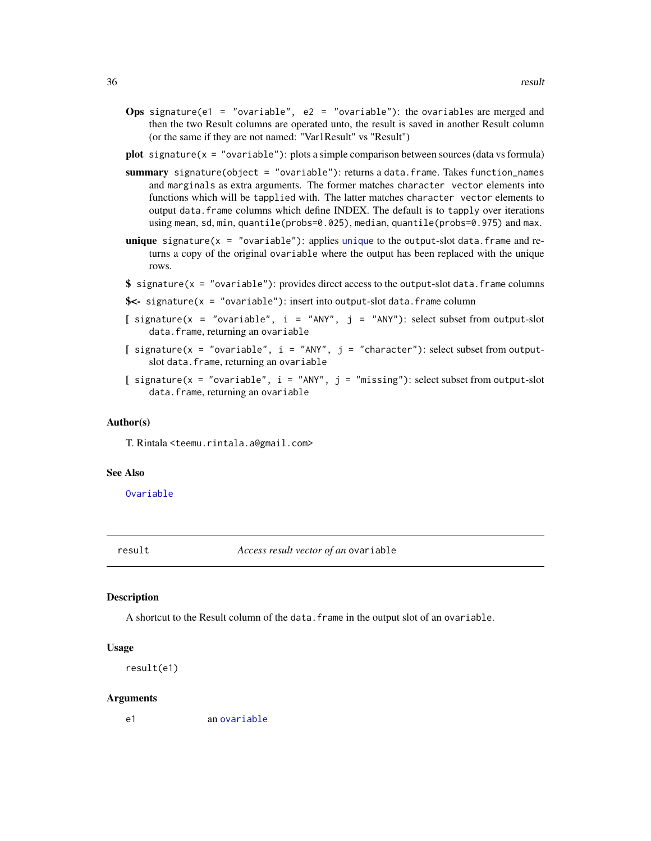- <span id="page-35-0"></span>**Ops** signature(e1 = "ovariable", e2 = "ovariable"): the ovariables are merged and then the two Result columns are operated unto, the result is saved in another Result column (or the same if they are not named: "Var1Result" vs "Result")
- **plot** signature( $x = "ovariable")$ : plots a simple comparison between sources (data vs formula)
- summary signature(object = "ovariable"): returns a data.frame. Takes function\_names and marginals as extra arguments. The former matches character vector elements into functions which will be tapplied with. The latter matches character vector elements to output data.frame columns which define INDEX. The default is to tapply over iterations using mean, sd, min, quantile(probs=0.025), median, quantile(probs=0.975) and max.
- **[unique](#page-0-0)** signature( $x = "ovariateble")$ : applies unique to the output-slot data. frame and returns a copy of the original ovariable where the output has been replaced with the unique rows.
- $\$  signature(x = "ovariable"): provides direct access to the output-slot data.frame columns
- $s$ <- signature(x = "ovariable"): insert into output-slot data. frame column
- [ signature(x = "ovariable", i = "ANY", j = "ANY"): select subset from output-slot data.frame, returning an ovariable
- [ signature( $x = "ovariable", i = "ANY", j = "character");$  select subset from outputslot data.frame, returning an ovariable
- [ signature( $x = "ovariate"$ ,  $i = "ANY"$ ,  $j = "missing"$ ): select subset from output-slot data.frame, returning an ovariable

#### Author(s)

T. Rintala <teemu.rintala.a@gmail.com>

#### See Also

[Ovariable](#page-32-1)

result *Access result vector of an* ovariable

#### **Description**

A shortcut to the Result column of the data. frame in the output slot of an ovariable.

#### Usage

```
result(e1)
```
#### Arguments

e1 an [ovariable](#page-34-1)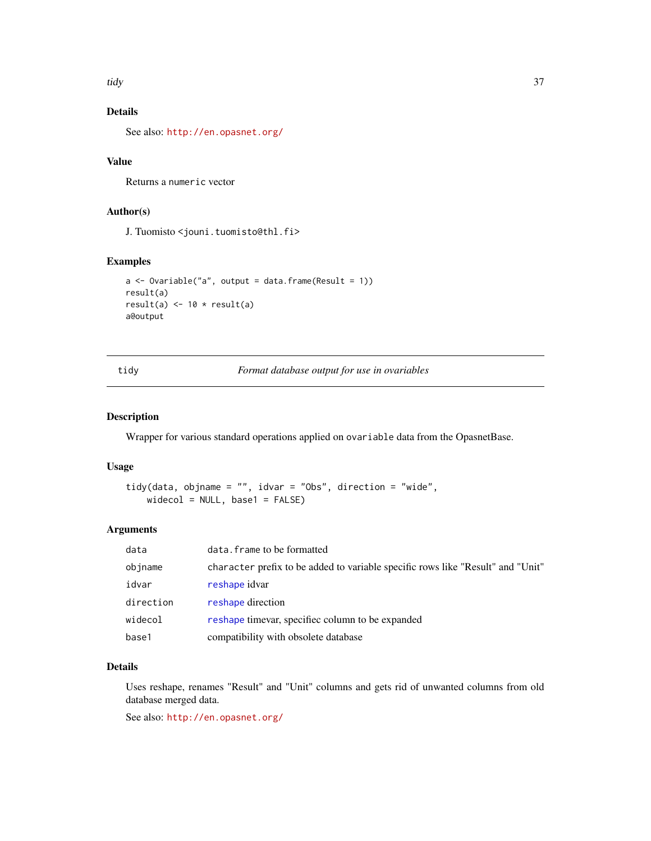<span id="page-36-0"></span>tidy 37

## Details

See also: <http://en.opasnet.org/>

## Value

Returns a numeric vector

## Author(s)

J. Tuomisto <jouni.tuomisto@thl.fi>

## Examples

```
a \leq 0variable("a", output = data.frame(Result = 1))
result(a)
result(a) <- 10 * result(a)a@output
```
<span id="page-36-1"></span>tidy *Format database output for use in ovariables*

#### Description

Wrapper for various standard operations applied on ovariable data from the OpasnetBase.

## Usage

```
tidy(data, objname = "", idvar = "Obs", direction = "wide",
   widecol = NULL, base1 = FALSE)
```
#### Arguments

| data      | data. frame to be formatted                                                     |
|-----------|---------------------------------------------------------------------------------|
| objname   | character prefix to be added to variable specific rows like "Result" and "Unit" |
| idvar     | reshape idvar                                                                   |
| direction | reshape direction                                                               |
| widecol   | reshape time are specified column to be expanded                                |
| base1     | compatibility with obsolete database                                            |

## Details

Uses reshape, renames "Result" and "Unit" columns and gets rid of unwanted columns from old database merged data.

See also: <http://en.opasnet.org/>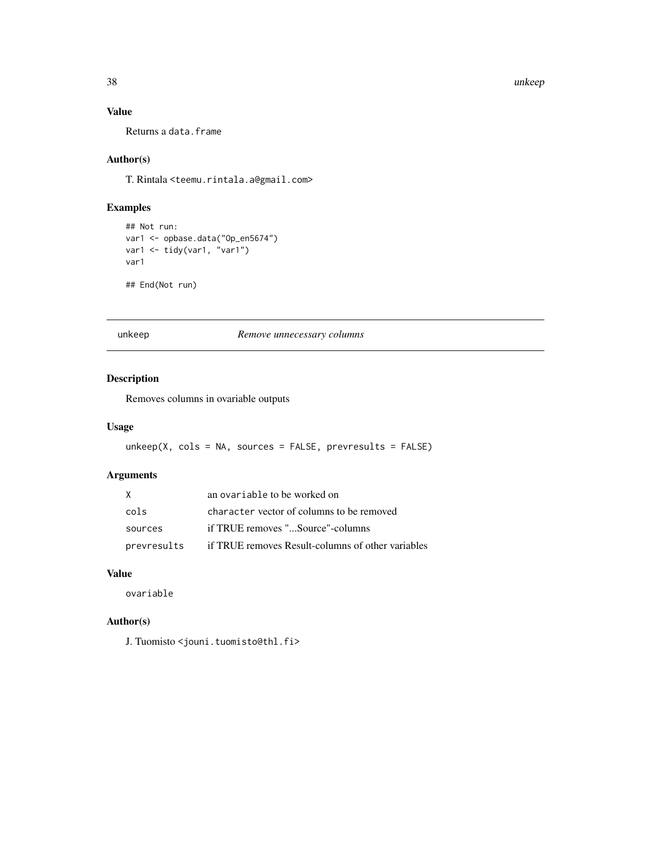38 unkeep

## Value

Returns a data.frame

## Author(s)

T. Rintala <teemu.rintala.a@gmail.com>

## Examples

```
## Not run:
var1 <- opbase.data("Op_en5674")
var1 <- tidy(var1, "var1")
var1
```
## End(Not run)

unkeep *Remove unnecessary columns*

## Description

Removes columns in ovariable outputs

## Usage

```
unkeep(X, cols = NA, sources = FALSE, prevresults = FALSE)
```
## Arguments

| X           | an ovariable to be worked on                      |
|-------------|---------------------------------------------------|
| cols        | character vector of columns to be removed         |
| sources     | if TRUE removes "Source"-columns                  |
| prevresults | if TRUE removes Result-columns of other variables |

## Value

ovariable

## Author(s)

J. Tuomisto <jouni.tuomisto@thl.fi>

<span id="page-37-0"></span>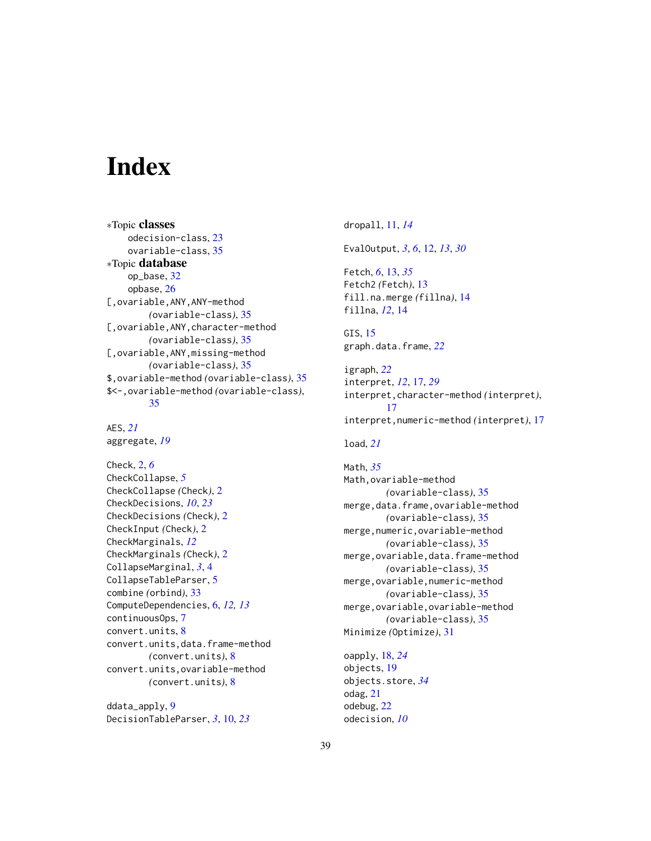# <span id="page-38-0"></span>**Index**

∗Topic classes odecision-class, [23](#page-22-0) ovariable-class, [35](#page-34-0) ∗Topic database op\_base, [32](#page-31-0) opbase, [26](#page-25-0) [,ovariable,ANY,ANY-method *(*ovariable-class*)*, [35](#page-34-0) [,ovariable,ANY,character-method *(*ovariable-class*)*, [35](#page-34-0) [,ovariable,ANY,missing-method *(*ovariable-class*)*, [35](#page-34-0) \$,ovariable-method *(*ovariable-class*)*, [35](#page-34-0) \$<-,ovariable-method *(*ovariable-class*)*, [35](#page-34-0)

```
AES, 21
aggregate, 19
```
Check, [2,](#page-1-0) *[6](#page-5-0)* CheckCollapse, *[5](#page-4-0)* CheckCollapse *(*Check*)*, [2](#page-1-0) CheckDecisions, *[10](#page-9-0)*, *[23](#page-22-0)* CheckDecisions *(*Check*)*, [2](#page-1-0) CheckInput *(*Check*)*, [2](#page-1-0) CheckMarginals, *[12](#page-11-0)* CheckMarginals *(*Check*)*, [2](#page-1-0) CollapseMarginal, *[3](#page-2-0)*, [4](#page-3-0) CollapseTableParser, [5](#page-4-0) combine *(*orbind*)*, [33](#page-32-0) ComputeDependencies, [6,](#page-5-0) *[12,](#page-11-0) [13](#page-12-0)* continuousOps, [7](#page-6-0) convert.units, [8](#page-7-0) convert.units,data.frame-method *(*convert.units*)*, [8](#page-7-0) convert.units,ovariable-method *(*convert.units*)*, [8](#page-7-0)

ddata\_apply, [9](#page-8-0) DecisionTableParser, *[3](#page-2-0)*, [10,](#page-9-0) *[23](#page-22-0)* dropall, [11,](#page-10-0) *[14](#page-13-0)* EvalOutput, *[3](#page-2-0)*, *[6](#page-5-0)*, [12,](#page-11-0) *[13](#page-12-0)*, *[30](#page-29-0)* Fetch, *[6](#page-5-0)*, [13,](#page-12-0) *[35](#page-34-0)* Fetch2 *(*Fetch*)*, [13](#page-12-0) fill.na.merge *(*fillna*)*, [14](#page-13-0) fillna, *[12](#page-11-0)*, [14](#page-13-0) GIS, [15](#page-14-0) graph.data.frame, *[22](#page-21-0)* igraph, *[22](#page-21-0)* interpret, *[12](#page-11-0)*, [17,](#page-16-0) *[29](#page-28-0)* interpret,character-method *(*interpret*)*, [17](#page-16-0) interpret,numeric-method *(*interpret*)*, [17](#page-16-0) load, *[21](#page-20-0)* Math, *[35](#page-34-0)*

Math,ovariable-method *(*ovariable-class*)*, [35](#page-34-0) merge,data.frame,ovariable-method *(*ovariable-class*)*, [35](#page-34-0) merge,numeric,ovariable-method *(*ovariable-class*)*, [35](#page-34-0) merge,ovariable,data.frame-method *(*ovariable-class*)*, [35](#page-34-0) merge,ovariable,numeric-method *(*ovariable-class*)*, [35](#page-34-0) merge,ovariable,ovariable-method *(*ovariable-class*)*, [35](#page-34-0) Minimize *(*Optimize*)*, [31](#page-30-0)

oapply, [18,](#page-17-0) *[24](#page-23-0)* objects, [19](#page-18-0) objects.store, *[34](#page-33-0)* odag, [21](#page-20-0) odebug, [22](#page-21-0) odecision, *[10](#page-9-0)*